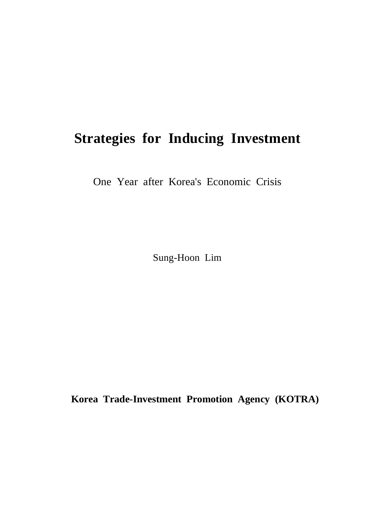# **Strategies for Inducing Investment**

One Year after Korea's Economic Crisis

Sung-Hoon Lim

**Korea Trade-Investment Promotion Agency (KOTRA)**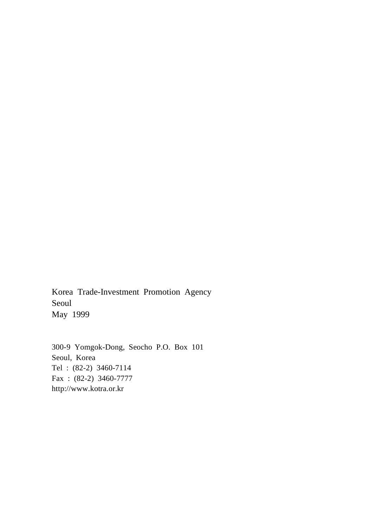Korea Trade-Investment Promotion Agency Seoul May 1999

300-9 Yomgok-Dong, Seocho P.O. Box 101 Seoul, Korea Tel : (82-2) 3460-7114 Fax : (82-2) 3460-7777 http://www.kotra.or.kr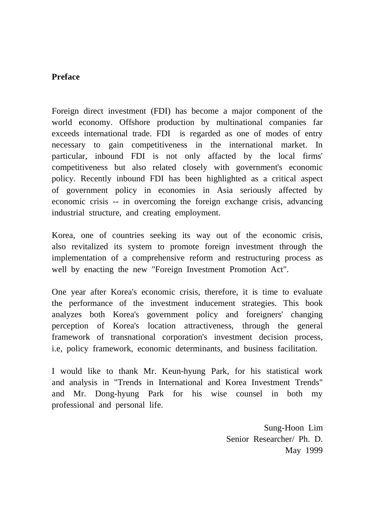## **Preface**

Foreign direct investment (FDI) has become a major component of the world economy. Offshore production by multinational companies far exceeds international trade. FDI is regarded as one of modes of entry necessary to gain competitiveness in the international market. In particular, inbound FDI is not only affacted by the local firms' competitiveness but also related closely with government's economic policy. Recently inbound FDI has been highlighted as a critical aspect of government policy in economies in Asia seriously affected by economic crisis -- in overcoming the foreign exchange crisis, advancing industrial structure, and creating employment.

Korea, one of countries seeking its way out of the economic crisis, also revitalized its system to promote foreign investment through the implementation of a comprehensive reform and restructuring process as well by enacting the new "Foreign Investment Promotion Act".

One year after Korea's economic crisis, therefore, it is time to evaluate the performance of the investment inducement strategies. This book analyzes both Korea's government policy and foreigners' changing perception of Korea's location attractiveness, through the general framework of transnational corporation's investment decision process, i.e, policy framework, economic determinants, and business facilitation.

I would like to thank Mr. Keun-hyung Park, for his statistical work and analysis in "Trends in International and Korea Investment Trends" and Mr. Dong-hyung Park for his wise counsel in both my professional and personal life.

> Sung-Hoon Lim Senior Researcher/ Ph. D. May 1999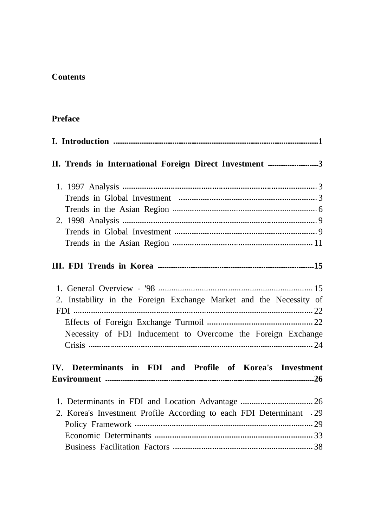# **Contents**

# **Preface**

| II. Trends in International Foreign Direct Investment 3                                                                            |
|------------------------------------------------------------------------------------------------------------------------------------|
|                                                                                                                                    |
|                                                                                                                                    |
| 2. Instability in the Foreign Exchange Market and the Necessity of<br>Necessity of FDI Inducement to Overcome the Foreign Exchange |
| IV. Determinants in FDI and Profile of Korea's Investment                                                                          |
| 2. Korea's Investment Profile According to each FDI Determinant .29                                                                |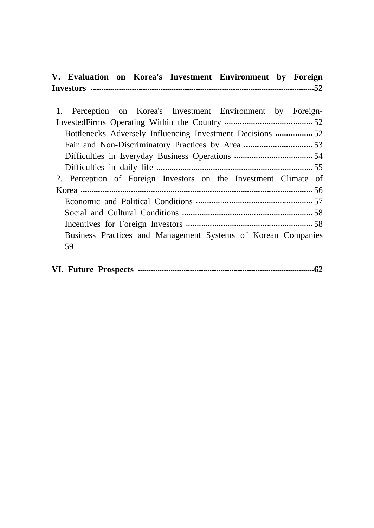|  |  | V. Evaluation on Korea's Investment Environment by Foreign |  |
|--|--|------------------------------------------------------------|--|
|  |  |                                                            |  |

| 1. Perception on Korea's Investment Environment by Foreign-     |
|-----------------------------------------------------------------|
|                                                                 |
|                                                                 |
|                                                                 |
|                                                                 |
|                                                                 |
| 2. Perception of Foreign Investors on the Investment Climate of |
|                                                                 |
|                                                                 |
|                                                                 |
|                                                                 |
| Business Practices and Management Systems of Korean Companies   |
| 59                                                              |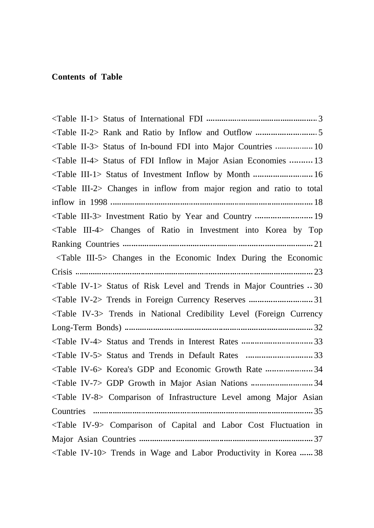#### **Contents of Table**

<Table II-1> Status of International FDI 3 <Table II-2> Rank and Ratio by Inflow and Outflow 5 <Table II-3> Status of In-bound FDI into Major Countries .................. 10 <Table II-4> Status of FDI Inflow in Major Asian Economies .......... 13 <Table III-1> Status of Investment Inflow by Month ............................. 16 <Table III-2> Changes in inflow from major region and ratio to total inflow in 1998 18 <Table III-3> Investment Ratio by Year and Country ........................... 19 <Table III-4> Changes of Ratio in Investment into Korea by Top Ranking Countries 21 <Table III-5> Changes in the Economic Index During the Economic Crisis 23  $\langle$ Table IV-1> Status of Risk Level and Trends in Major Countries  $\cdot$  30 <Table IV-2> Trends in Foreign Currency Reserves 31 <Table IV-3> Trends in National Credibility Level (Foreign Currency Long-Term Bonds) 32 <Table IV-4> Status and Trends in Interest Rates 33 <Table IV-5> Status and Trends in Default Rates 33 <Table IV-6> Korea's GDP and Economic Growth Rate ...................... 34 <Table IV-7> GDP Growth in Major Asian Nations 34 <Table IV-8> Comparison of Infrastructure Level among Major Asian Countries  $\ldots$   $\ldots$   $\ldots$   $\ldots$   $\ldots$   $\ldots$   $\ldots$   $\ldots$   $\ldots$   $\ldots$   $\ldots$   $\ldots$   $\ldots$   $\ldots$   $\ldots$   $\ldots$   $\ldots$   $\ldots$   $\ldots$   $\ldots$   $\ldots$   $\ldots$   $\ldots$   $\ldots$   $\ldots$   $\ldots$   $\ldots$   $\ldots$   $\ldots$   $\ldots$   $\ldots$   $\ldots$   $\ldots$   $\ldots$   $\ldots$   $\$ <Table IV-9> Comparison of Capital and Labor Cost Fluctuation in Major Asian Countries 37 <Table IV-10> Trends in Wage and Labor Productivity in Korea ...... 38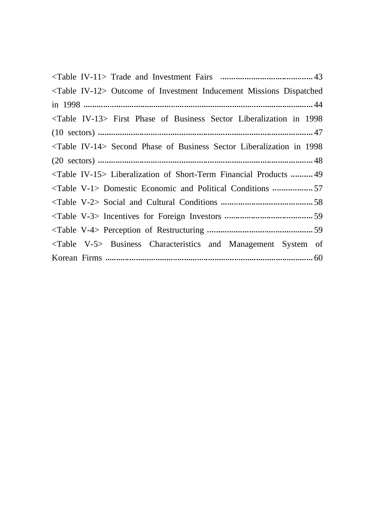| $\langle$ Table IV-12> Outcome of Investment Inducement Missions Dispatched     |
|---------------------------------------------------------------------------------|
|                                                                                 |
| <table iv-13=""> First Phase of Business Sector Liberalization in 1998</table>  |
|                                                                                 |
| <table iv-14=""> Second Phase of Business Sector Liberalization in 1998</table> |
|                                                                                 |
| <table iv-15=""> Liberalization of Short-Term Financial Products  49</table>    |
| <table v-1=""> Domestic Economic and Political Conditions 57</table>            |
|                                                                                 |
|                                                                                 |
|                                                                                 |
| <table v-5=""> Business Characteristics and Management System of</table>        |
|                                                                                 |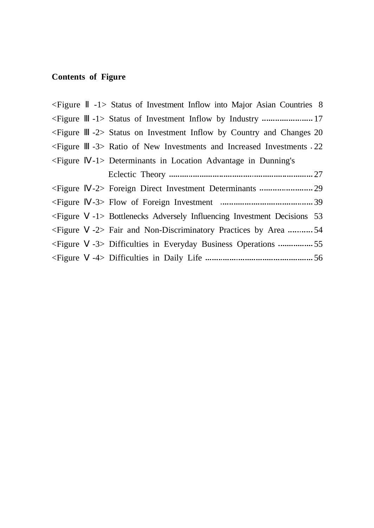# **Contents of Figure**

| $\leq$ Figure | -1> Status of Investment Inflow into Major Asian Countries 8  |
|---------------|---------------------------------------------------------------|
| $\leq$ Figure |                                                               |
| $\leq$ Figure | -2> Status on Investment Inflow by Country and Changes 20     |
| $\leq$ Figure | -3> Ratio of New Investments and Increased Investments - 22   |
| $\leq$ Figure | -1> Determinants in Location Advantage in Dunning's           |
|               |                                                               |
| $\leq$ Figure |                                                               |
| $\leq$ Figure |                                                               |
| $\leq$ Figure | -1> Bottlenecks Adversely Influencing Investment Decisions 53 |
| $\leq$ Figure | -2> Fair and Non-Discriminatory Practices by Area 54          |
| $\leq$ Figure |                                                               |
| $\leq$ Figure |                                                               |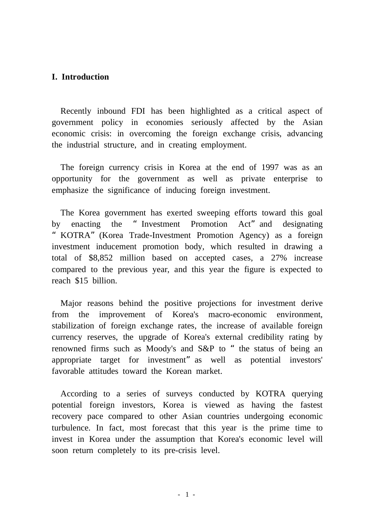## **I. Introduction**

Recently inbound FDI has been highlighted as a critical aspect of government policy in economies seriously affected by the Asian economic crisis: in overcoming the foreign exchange crisis, advancing the industrial structure, and in creating employment.

The foreign currency crisis in Korea at the end of 1997 was as an opportunity for the government as well as private enterprise to emphasize the significance of inducing foreign investment.

The Korea government has exerted sweeping efforts toward this goal by enacting the "Investment Promotion Act"and designating "KOTRA"(Korea Trade-Investment Promotion Agency) as a foreign investment inducement promotion body, which resulted in drawing a total of \$8,852 million based on accepted cases, a 27% increase compared to the previous year, and this year the figure is expected to reach \$15 billion.

Major reasons behind the positive projections for investment derive from the improvement of Korea's macro-economic environment, stabilization of foreign exchange rates, the increase of available foreign currency reserves, the upgrade of Korea's external credibility rating by renowned firms such as Moody's and S&P to "the status of being an appropriate target for investment"as well as potential investors' favorable attitudes toward the Korean market.

According to a series of surveys conducted by KOTRA querying potential foreign investors, Korea is viewed as having the fastest recovery pace compared to other Asian countries undergoing economic turbulence. In fact, most forecast that this year is the prime time to invest in Korea under the assumption that Korea's economic level will soon return completely to its pre-crisis level.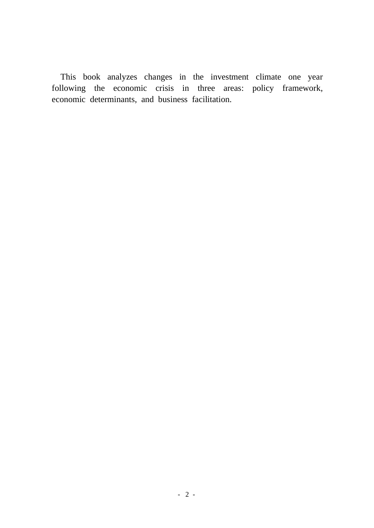This book analyzes changes in the investment climate one year following the economic crisis in three areas: policy framework, economic determinants, and business facilitation.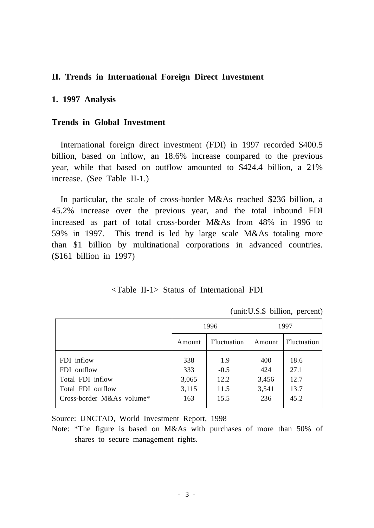#### **II. Trends in International Foreign Direct Investment**

#### **1. 1997 Analysis**

#### **Trends in Global Investment**

International foreign direct investment (FDI) in 1997 recorded \$400.5 billion, based on inflow, an 18.6% increase compared to the previous year, while that based on outflow amounted to \$424.4 billion, a 21% increase. (See Table II-1.)

In particular, the scale of cross-border M&As reached \$236 billion, a 45.2% increase over the previous year, and the total inbound FDI increased as part of total cross-border M&As from 48% in 1996 to 59% in 1997. This trend is led by large scale M&As totaling more than \$1 billion by multinational corporations in advanced countries. (\$161 billion in 1997)

## <Table II-1> Status of International FDI

(unit:U.S.\$ billion, percent)

|                                         | 1996   |                    | 1997   |                    |
|-----------------------------------------|--------|--------------------|--------|--------------------|
|                                         | Amount | <b>Fluctuation</b> | Amount | <b>Fluctuation</b> |
| FDI inflow                              | 338    | 1.9                | 400    | 18.6               |
| FDI outflow                             | 333    | $-0.5$             | 424    | 27.1               |
| Total FDI inflow                        | 3,065  | 12.2               | 3,456  | 12.7               |
| Total FDI outflow                       | 3,115  | 11.5               | 3,541  | 13.7               |
| Cross-border $M&As$ volume <sup>*</sup> | 163    | 15.5               | 236    | 45.2               |
|                                         |        |                    |        |                    |

Source: UNCTAD, World Investment Report, 1998

Note: \*The figure is based on M&As with purchases of more than 50% of shares to secure management rights.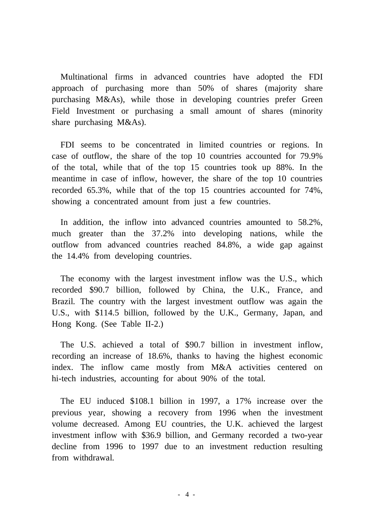Multinational firms in advanced countries have adopted the FDI approach of purchasing more than 50% of shares (majority share purchasing M&As), while those in developing countries prefer Green Field Investment or purchasing a small amount of shares (minority share purchasing M&As).

FDI seems to be concentrated in limited countries or regions. In case of outflow, the share of the top 10 countries accounted for 79.9% of the total, while that of the top 15 countries took up 88%. In the meantime in case of inflow, however, the share of the top 10 countries recorded 65.3%, while that of the top 15 countries accounted for 74%, showing a concentrated amount from just a few countries.

In addition, the inflow into advanced countries amounted to 58.2%, much greater than the 37.2% into developing nations, while the outflow from advanced countries reached 84.8%, a wide gap against the 14.4% from developing countries.

The economy with the largest investment inflow was the U.S., which recorded \$90.7 billion, followed by China, the U.K., France, and Brazil. The country with the largest investment outflow was again the U.S., with \$114.5 billion, followed by the U.K., Germany, Japan, and Hong Kong. (See Table II-2.)

The U.S. achieved a total of \$90.7 billion in investment inflow, recording an increase of 18.6%, thanks to having the highest economic index. The inflow came mostly from M&A activities centered on hi-tech industries, accounting for about 90% of the total.

The EU induced \$108.1 billion in 1997, a 17% increase over the previous year, showing a recovery from 1996 when the investment volume decreased. Among EU countries, the U.K. achieved the largest investment inflow with \$36.9 billion, and Germany recorded a two-year decline from 1996 to 1997 due to an investment reduction resulting from withdrawal.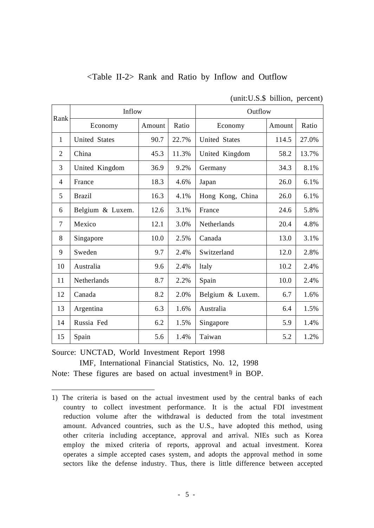|                | Inflow               |        |       | Outflow              |        |       |  |
|----------------|----------------------|--------|-------|----------------------|--------|-------|--|
| Rank           | Economy              | Amount | Ratio | Economy              | Amount | Ratio |  |
| 1              | <b>United States</b> | 90.7   | 22.7% | <b>United States</b> | 114.5  | 27.0% |  |
| $\overline{2}$ | China                | 45.3   | 11.3% | United Kingdom       | 58.2   | 13.7% |  |
| 3              | United Kingdom       | 36.9   | 9.2%  | Germany              | 34.3   | 8.1%  |  |
| 4              | France               | 18.3   | 4.6%  | Japan                | 26.0   | 6.1%  |  |
| 5              | <b>Brazil</b>        | 16.3   | 4.1%  | Hong Kong, China     | 26.0   | 6.1%  |  |
| 6              | Belgium & Luxem.     | 12.6   | 3.1%  | France               | 24.6   | 5.8%  |  |
| $\tau$         | Mexico               | 12.1   | 3.0%  | Netherlands          | 20.4   | 4.8%  |  |
| 8              | Singapore            | 10.0   | 2.5%  | Canada               | 13.0   | 3.1%  |  |
| 9              | Sweden               | 9.7    | 2.4%  | Switzerland          | 12.0   | 2.8%  |  |
| 10             | Australia            | 9.6    | 2.4%  | ltaly                | 10.2   | 2.4%  |  |
| 11             | Netherlands          | 8.7    | 2.2%  | Spain                | 10.0   | 2.4%  |  |
| 12             | Canada               | 8.2    | 2.0%  | Belgium & Luxem.     | 6.7    | 1.6%  |  |
| 13             | Argentina            | 6.3    | 1.6%  | Australia            | 6.4    | 1.5%  |  |
| 14             | Russia Fed           | 6.2    | 1.5%  | Singapore            | 5.9    | 1.4%  |  |
| 15             | Spain                | 5.6    | 1.4%  | Taiwan               | 5.2    | 1.2%  |  |

# <Table II-2> Rank and Ratio by Inflow and Outflow

(unit:U.S.\$ billion, percent)

Source: UNCTAD, World Investment Report 1998

IMF, International Financial Statistics, No. 12, 1998 Note: These figures are based on actual investment<sup>1)</sup> in BOP.

<sup>1)</sup> The criteria is based on the actual investment used by the central banks of each country to collect investment performance. It is the actual FDI investment reduction volume after the withdrawal is deducted from the total investment amount. Advanced countries, such as the U.S., have adopted this method, using other criteria including acceptance, approval and arrival. NIEs such as Korea employ the mixed criteria of reports, approval and actual investment. Korea operates a simple accepted cases system, and adopts the approval method in some sectors like the defense industry. Thus, there is little difference between accepted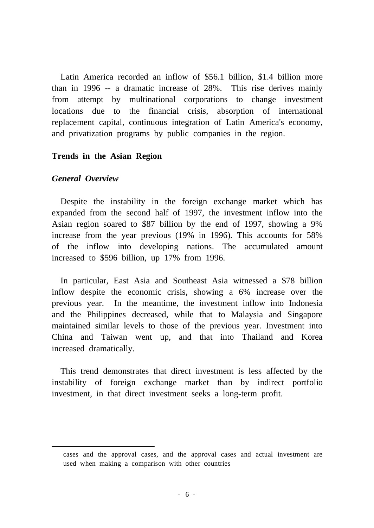Latin America recorded an inflow of \$56.1 billion, \$1.4 billion more than in 1996 -- a dramatic increase of 28%. This rise derives mainly from attempt by multinational corporations to change investment locations due to the financial crisis, absorption of international replacement capital, continuous integration of Latin America's economy, and privatization programs by public companies in the region.

#### **Trends in the Asian Region**

#### *General Overview*

Despite the instability in the foreign exchange market which has expanded from the second half of 1997, the investment inflow into the Asian region soared to \$87 billion by the end of 1997, showing a 9% increase from the year previous (19% in 1996). This accounts for 58% of the inflow into developing nations. The accumulated amount increased to \$596 billion, up 17% from 1996.

In particular, East Asia and Southeast Asia witnessed a \$78 billion inflow despite the economic crisis, showing a 6% increase over the previous year. In the meantime, the investment inflow into Indonesia and the Philippines decreased, while that to Malaysia and Singapore maintained similar levels to those of the previous year. Investment into China and Taiwan went up, and that into Thailand and Korea increased dramatically.

This trend demonstrates that direct investment is less affected by the instability of foreign exchange market than by indirect portfolio investment, in that direct investment seeks a long-term profit.

cases and the approval cases, and the approval cases and actual investment are used when making a comparison with other countries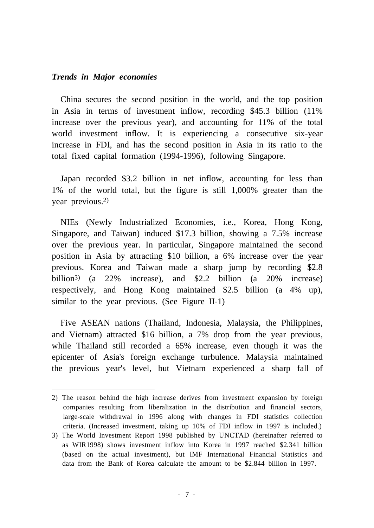#### *Trends in Major economies*

China secures the second position in the world, and the top position in Asia in terms of investment inflow, recording \$45.3 billion (11% increase over the previous year), and accounting for 11% of the total world investment inflow. It is experiencing a consecutive six-year increase in FDI, and has the second position in Asia in its ratio to the total fixed capital formation (1994-1996), following Singapore.

Japan recorded \$3.2 billion in net inflow, accounting for less than 1% of the world total, but the figure is still 1,000% greater than the year previous. 2)

NIEs (Newly Industrialized Economies, i.e., Korea, Hong Kong, Singapore, and Taiwan) induced \$17.3 billion, showing a 7.5% increase over the previous year. In particular, Singapore maintained the second position in Asia by attracting \$10 billion, a 6% increase over the year previous. Korea and Taiwan made a sharp jump by recording \$2.8 billion3) (a 22% increase), and \$2.2 billion (a 20% increase) respectively, and Hong Kong maintained \$2.5 billion (a 4% up), similar to the year previous. (See Figure II-1)

Five ASEAN nations (Thailand, Indonesia, Malaysia, the Philippines, and Vietnam) attracted \$16 billion, a 7% drop from the year previous, while Thailand still recorded a 65% increase, even though it was the epicenter of Asia's foreign exchange turbulence. Malaysia maintained the previous year's level, but Vietnam experienced a sharp fall of

<sup>2)</sup> The reason behind the high increase derives from investment expansion by foreign companies resulting from liberalization in the distribution and financial sectors, large-scale withdrawal in 1996 along with changes in FDI statistics collection criteria. (Increased investment, taking up 10% of FDI inflow in 1997 is included.)

<sup>3)</sup> The World Investment Report 1998 published by UNCTAD (hereinafter referred to as WIR1998) shows investment inflow into Korea in 1997 reached \$2.341 billion (based on the actual investment), but IMF International Financial Statistics and data from the Bank of Korea calculate the amount to be \$2.844 billion in 1997.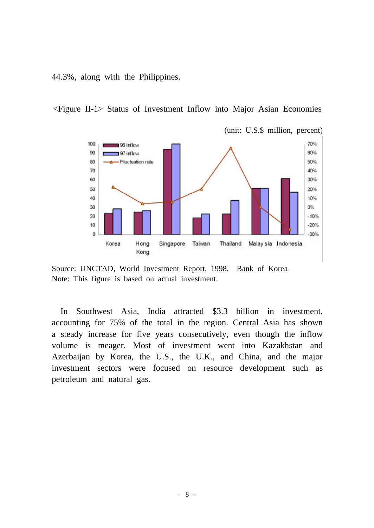44.3%, along with the Philippines.

<Figure II-1> Status of Investment Inflow into Major Asian Economies



Source: UNCTAD, World Investment Report, 1998, Bank of Korea Note: This figure is based on actual investment.

In Southwest Asia, India attracted \$3.3 billion in investment, accounting for 75% of the total in the region. Central Asia has shown a steady increase for five years consecutively, even though the inflow volume is meager. Most of investment went into Kazakhstan and Azerbaijan by Korea, the U.S., the U.K., and China, and the major investment sectors were focused on resource development such as petroleum and natural gas.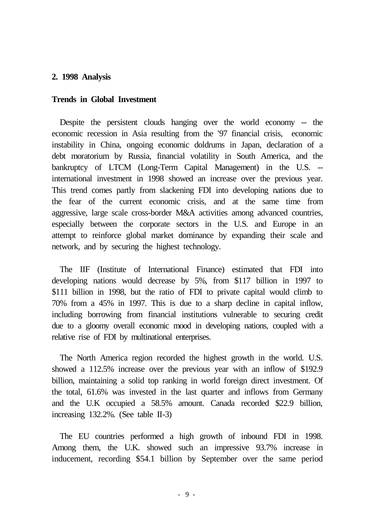#### **2. 1998 Analysis**

#### **Trends in Global Investment**

Despite the persistent clouds hanging over the world economy -- the economic recession in Asia resulting from the '97 financial crisis, economic instability in China, ongoing economic doldrums in Japan, declaration of a debt moratorium by Russia, financial volatility in South America, and the bankruptcy of LTCM (Long-Term Capital Management) in the U.S. - international investment in 1998 showed an increase over the previous year. This trend comes partly from slackening FDI into developing nations due to the fear of the current economic crisis, and at the same time from aggressive, large scale cross-border M&A activities among advanced countries, especially between the corporate sectors in the U.S. and Europe in an attempt to reinforce global market dominance by expanding their scale and network, and by securing the highest technology.

The IIF (Institute of International Finance) estimated that FDI into developing nations would decrease by 5%, from \$117 billion in 1997 to \$111 billion in 1998, but the ratio of FDI to private capital would climb to 70% from a 45% in 1997. This is due to a sharp decline in capital inflow, including borrowing from financial institutions vulnerable to securing credit due to a gloomy overall economic mood in developing nations, coupled with a relative rise of FDI by multinational enterprises.

The North America region recorded the highest growth in the world. U.S. showed a 112.5% increase over the previous year with an inflow of \$192.9 billion, maintaining a solid top ranking in world foreign direct investment. Of the total, 61.6% was invested in the last quarter and inflows from Germany and the U.K occupied a 58.5% amount. Canada recorded \$22.9 billion, increasing 132.2%. (See table II-3)

The EU countries performed a high growth of inbound FDI in 1998. Among them, the U.K. showed such an impressive 93.7% increase in inducement, recording \$54.1 billion by September over the same period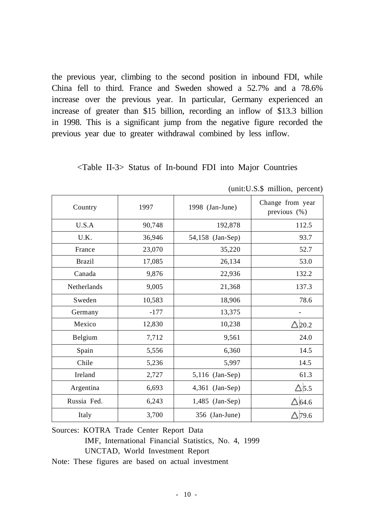the previous year, climbing to the second position in inbound FDI, while China fell to third. France and Sweden showed a 52.7% and a 78.6% increase over the previous year. In particular, Germany experienced an increase of greater than \$15 billion, recording an inflow of \$13.3 billion in 1998. This is a significant jump from the negative figure recorded the previous year due to greater withdrawal combined by less inflow.

## <Table II-3> Status of In-bound FDI into Major Countries

| Country       | 1997   | 1998 (Jan-June)  | Change from year<br>previous (%) |  |  |
|---------------|--------|------------------|----------------------------------|--|--|
| U.S.A         | 90,748 | 192,878          | 112.5                            |  |  |
| U.K.          | 36,946 | 54,158 (Jan-Sep) | 93.7                             |  |  |
| France        | 23,070 | 35,220           | 52.7                             |  |  |
| <b>Brazil</b> | 17,085 | 26,134           | 53.0                             |  |  |
| Canada        | 9,876  | 22,936           | 132.2                            |  |  |
| Netherlands   | 9,005  | 21,368           | 137.3                            |  |  |
| Sweden        | 10,583 | 18,906           | 78.6                             |  |  |
| Germany       | $-177$ | 13,375           |                                  |  |  |
| Mexico        | 12,830 | 10,238           | $\Delta$ 20.2                    |  |  |
| Belgium       | 7,712  | 9,561            | 24.0                             |  |  |
| Spain         | 5,556  | 6,360            | 14.5                             |  |  |
| Chile         | 5,236  | 5,997            | 14.5                             |  |  |
| Ireland       | 2,727  | 5,116 (Jan-Sep)  | 61.3                             |  |  |
| Argentina     | 6,693  | 4,361 (Jan-Sep)  | $\Delta$ 5.5                     |  |  |
| Russia Fed.   | 6,243  | 1,485 (Jan-Sep)  | $\Delta$ 64.6                    |  |  |
| Italy         | 3,700  | 356 (Jan-June)   | $\Delta$ 79.6                    |  |  |

|  | (unit: U.S.\$ million, percent) |  |
|--|---------------------------------|--|
|  |                                 |  |

Sources: KOTRA Trade Center Report Data IMF, International Financial Statistics, No. 4, 1999 UNCTAD, World Investment Report

Note: These figures are based on actual investment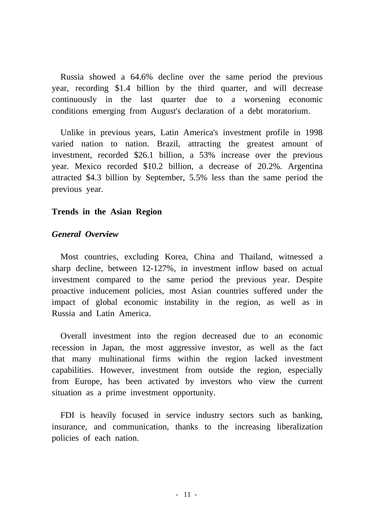Russia showed a 64.6% decline over the same period the previous year, recording \$1.4 billion by the third quarter, and will decrease continuously in the last quarter due to a worsening economic conditions emerging from August's declaration of a debt moratorium.

Unlike in previous years, Latin America's investment profile in 1998 varied nation to nation. Brazil, attracting the greatest amount of investment, recorded \$26.1 billion, a 53% increase over the previous year. Mexico recorded \$10.2 billion, a decrease of 20.2%. Argentina attracted \$4.3 billion by September, 5.5% less than the same period the previous year.

## **Trends in the Asian Region**

## *General Overview*

Most countries, excluding Korea, China and Thailand, witnessed a sharp decline, between 12-127%, in investment inflow based on actual investment compared to the same period the previous year. Despite proactive inducement policies, most Asian countries suffered under the impact of global economic instability in the region, as well as in Russia and Latin America.

Overall investment into the region decreased due to an economic recession in Japan, the most aggressive investor, as well as the fact that many multinational firms within the region lacked investment capabilities. However, investment from outside the region, especially from Europe, has been activated by investors who view the current situation as a prime investment opportunity.

FDI is heavily focused in service industry sectors such as banking, insurance, and communication, thanks to the increasing liberalization policies of each nation.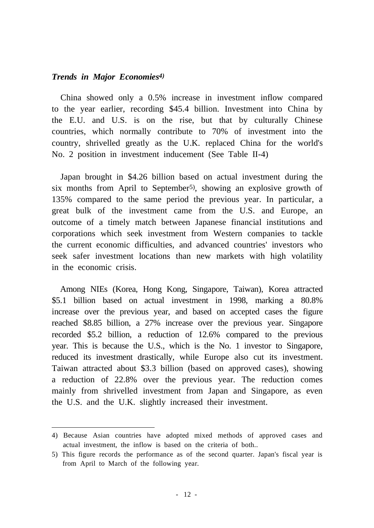#### *Trends in Major Economies 4)*

China showed only a 0.5% increase in investment inflow compared to the year earlier, recording \$45.4 billion. Investment into China by the E.U. and U.S. is on the rise, but that by culturally Chinese countries, which normally contribute to 70% of investment into the country, shrivelled greatly as the U.K. replaced China for the world's No. 2 position in investment inducement (See Table II-4)

Japan brought in \$4.26 billion based on actual investment during the six months from April to September 5) , showing an explosive growth of 135% compared to the same period the previous year. In particular, a great bulk of the investment came from the U.S. and Europe, an outcome of a timely match between Japanese financial institutions and corporations which seek investment from Western companies to tackle the current economic difficulties, and advanced countries' investors who seek safer investment locations than new markets with high volatility in the economic crisis.

Among NIEs (Korea, Hong Kong, Singapore, Taiwan), Korea attracted \$5.1 billion based on actual investment in 1998, marking a 80.8% increase over the previous year, and based on accepted cases the figure reached \$8.85 billion, a 27% increase over the previous year. Singapore recorded \$5.2 billion, a reduction of 12.6% compared to the previous year. This is because the U.S., which is the No. 1 investor to Singapore, reduced its investment drastically, while Europe also cut its investment. Taiwan attracted about \$3.3 billion (based on approved cases), showing a reduction of 22.8% over the previous year. The reduction comes mainly from shrivelled investment from Japan and Singapore, as even the U.S. and the U.K. slightly increased their investment.

<sup>4)</sup> Because Asian countries have adopted mixed methods of approved cases and actual investment, the inflow is based on the criteria of both..

<sup>5)</sup> This figure records the performance as of the second quarter. Japan's fiscal year is from April to March of the following year.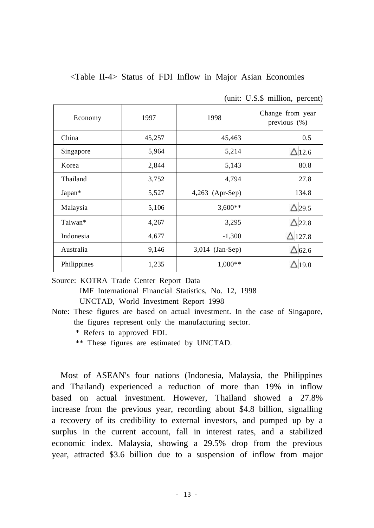<Table II-4> Status of FDI Inflow in Major Asian Economies

| Economy     | 1997   | 1998            | Change from year<br>previous $(\%)$ |
|-------------|--------|-----------------|-------------------------------------|
| China       | 45,257 | 45,463          | 0.5                                 |
| Singapore   | 5,964  | 5,214           | $\triangle$ 12.6                    |
| Korea       | 2,844  | 5,143           | 80.8                                |
| Thailand    | 3,752  | 4,794           | 27.8                                |
| Japan*      | 5,527  | 4,263 (Apr-Sep) | 134.8                               |
| Malaysia    | 5,106  | $3,600**$       | $\Delta$ 29.5                       |
| Taiwan*     | 4,267  | 3,295           | $\Delta$ 22.8                       |
| Indonesia   | 4,677  | $-1,300$        | $\triangle$ 127.8                   |
| Australia   | 9,146  | 3,014 (Jan-Sep) | $\Delta$ 62.6                       |
| Philippines | 1,235  | $1,000**$       | $\Delta$ 19.0                       |

(unit: U.S.\$ million, percent)

Source: KOTRA Trade Center Report Data IMF International Financial Statistics, No. 12, 1998 UNCTAD, World Investment Report 1998

\*\* These figures are estimated by UNCTAD.

Most of ASEAN's four nations (Indonesia, Malaysia, the Philippines and Thailand) experienced a reduction of more than 19% in inflow based on actual investment. However, Thailand showed a 27.8% increase from the previous year, recording about \$4.8 billion, signalling a recovery of its credibility to external investors, and pumped up by a surplus in the current account, fall in interest rates, and a stabilized economic index. Malaysia, showing a 29.5% drop from the previous year, attracted \$3.6 billion due to a suspension of inflow from major

Note: These figures are based on actual investment. In the case of Singapore, the figures represent only the manufacturing sector.

<sup>\*</sup> Refers to approved FDI.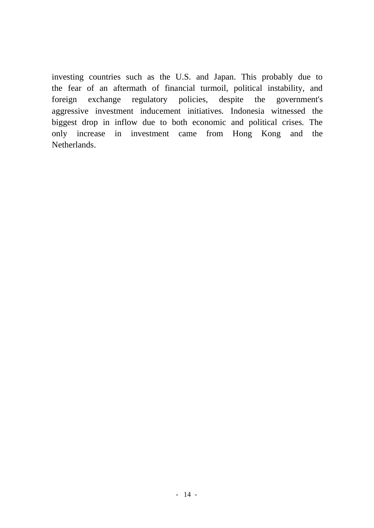investing countries such as the U.S. and Japan. This probably due to the fear of an aftermath of financial turmoil, political instability, and foreign exchange regulatory policies, despite the government's aggressive investment inducement initiatives. Indonesia witnessed the biggest drop in inflow due to both economic and political crises. The only increase in investment came from Hong Kong and the Netherlands.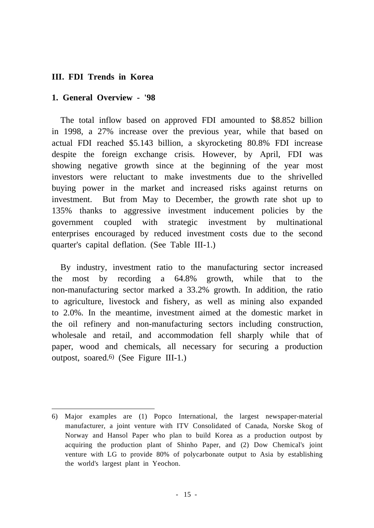## **III. FDI Trends in Korea**

## **1. General Overview - '98**

The total inflow based on approved FDI amounted to \$8.852 billion in 1998, a 27% increase over the previous year, while that based on actual FDI reached \$5.143 billion, a skyrocketing 80.8% FDI increase despite the foreign exchange crisis. However, by April, FDI was showing negative growth since at the beginning of the year most investors were reluctant to make investments due to the shrivelled buying power in the market and increased risks against returns on investment. But from May to December, the growth rate shot up to 135% thanks to aggressive investment inducement policies by the government coupled with strategic investment by multinational enterprises encouraged by reduced investment costs due to the second quarter's capital deflation. (See Table III-1.)

By industry, investment ratio to the manufacturing sector increased the most by recording a 64.8% growth, while that to the non-manufacturing sector marked a 33.2% growth. In addition, the ratio to agriculture, livestock and fishery, as well as mining also expanded to 2.0%. In the meantime, investment aimed at the domestic market in the oil refinery and non-manufacturing sectors including construction, wholesale and retail, and accommodation fell sharply while that of paper, wood and chemicals, all necessary for securing a production outpost, soared. 6) (See Figure III-1.)

<sup>6)</sup> Major examples are (1) Popco International, the largest newspaper-material manufacturer, a joint venture with ITV Consolidated of Canada, Norske Skog of Norway and Hansol Paper who plan to build Korea as a production outpost by acquiring the production plant of Shinho Paper, and (2) Dow Chemical's joint venture with LG to provide 80% of polycarbonate output to Asia by establishing the world's largest plant in Yeochon.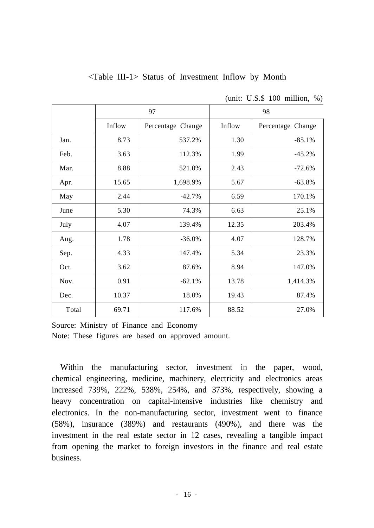|       |        | 97                | 98     |                   |  |
|-------|--------|-------------------|--------|-------------------|--|
|       | Inflow | Percentage Change | Inflow | Percentage Change |  |
| Jan.  | 8.73   | 537.2%            | 1.30   | $-85.1%$          |  |
| Feb.  | 3.63   | 112.3%            | 1.99   | $-45.2%$          |  |
| Mar.  | 8.88   | 521.0%            | 2.43   | $-72.6%$          |  |
| Apr.  | 15.65  | 1,698.9%          | 5.67   | $-63.8%$          |  |
| May   | 2.44   | $-42.7%$          | 6.59   | 170.1%            |  |
| June  | 5.30   | 74.3%             | 6.63   | 25.1%             |  |
| July  | 4.07   | 139.4%            | 12.35  | 203.4%            |  |
| Aug.  | 1.78   | $-36.0%$          | 4.07   | 128.7%            |  |
| Sep.  | 4.33   | 147.4%            | 5.34   | 23.3%             |  |
| Oct.  | 3.62   | 87.6%             | 8.94   | 147.0%            |  |
| Nov.  | 0.91   | $-62.1%$          | 13.78  | 1,414.3%          |  |
| Dec.  | 10.37  | 18.0%             | 19.43  | 87.4%             |  |
| Total | 69.71  | 117.6%            | 88.52  | 27.0%             |  |

<Table III-1> Status of Investment Inflow by Month

(unit: U.S.\$ 100 million, %)

Source: Ministry of Finance and Economy Note: These figures are based on approved amount.

Within the manufacturing sector, investment in the paper, wood, chemical engineering, medicine, machinery, electricity and electronics areas increased 739%, 222%, 538%, 254%, and 373%, respectively, showing a heavy concentration on capital-intensive industries like chemistry and electronics. In the non-manufacturing sector, investment went to finance (58%), insurance (389%) and restaurants (490%), and there was the investment in the real estate sector in 12 cases, revealing a tangible impact from opening the market to foreign investors in the finance and real estate business.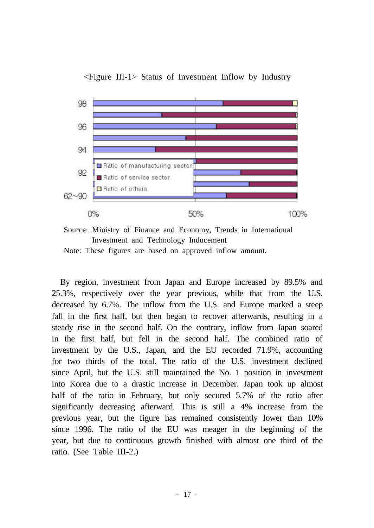

<Figure III-1> Status of Investment Inflow by Industry

Source: Ministry of Finance and Economy, Trends in International Investment and Technology Inducement

Note: These figures are based on approved inflow amount.

By region, investment from Japan and Europe increased by 89.5% and 25.3%, respectively over the year previous, while that from the U.S. decreased by 6.7%. The inflow from the U.S. and Europe marked a steep fall in the first half, but then began to recover afterwards, resulting in a steady rise in the second half. On the contrary, inflow from Japan soared in the first half, but fell in the second half. The combined ratio of investment by the U.S., Japan, and the EU recorded 71.9%, accounting for two thirds of the total. The ratio of the U.S. investment declined since April, but the U.S. still maintained the No. 1 position in investment into Korea due to a drastic increase in December. Japan took up almost half of the ratio in February, but only secured 5.7% of the ratio after significantly decreasing afterward. This is still a 4% increase from the previous year, but the figure has remained consistently lower than 10% since 1996. The ratio of the EU was meager in the beginning of the year, but due to continuous growth finished with almost one third of the ratio. (See Table III-2.)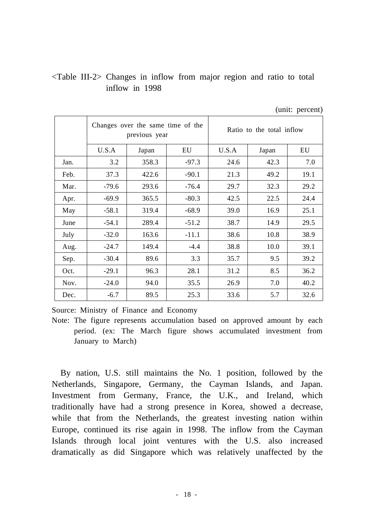# <Table III-2> Changes in inflow from major region and ratio to total inflow in 1998

|      |         | Changes over the same time of the<br>previous year |         | Ratio to the total inflow |       |      |  |
|------|---------|----------------------------------------------------|---------|---------------------------|-------|------|--|
|      | U.S.A   | Japan                                              | EU      | U.S.A                     | Japan | EU   |  |
| Jan. | 3.2     | 358.3                                              | $-97.3$ | 24.6                      | 42.3  | 7.0  |  |
| Feb. | 37.3    | 422.6                                              | $-90.1$ | 21.3                      | 49.2  | 19.1 |  |
| Mar. | $-79.6$ | 293.6                                              | $-76.4$ | 29.7                      | 32.3  | 29.2 |  |
| Apr. | $-69.9$ | 365.5                                              | $-80.3$ | 42.5                      | 22.5  | 24.4 |  |
| May  | $-58.1$ | 319.4                                              | $-68.9$ | 39.0                      | 16.9  | 25.1 |  |
| June | $-54.1$ | 289.4                                              | $-51.2$ | 38.7                      | 14.9  | 29.5 |  |
| July | $-32.0$ | 163.6                                              | $-11.1$ | 38.6                      | 10.8  | 38.9 |  |
| Aug. | $-24.7$ | 149.4                                              | $-4.4$  | 38.8                      | 10.0  | 39.1 |  |
| Sep. | $-30.4$ | 89.6                                               | 3.3     | 35.7                      | 9.5   | 39.2 |  |
| Oct. | $-29.1$ | 96.3                                               | 28.1    | 31.2                      | 8.5   | 36.2 |  |
| Nov. | $-24.0$ | 94.0                                               | 35.5    | 26.9                      | 7.0   | 40.2 |  |
| Dec. | $-6.7$  | 89.5                                               | 25.3    | 33.6                      | 5.7   | 32.6 |  |

(unit: percent)

Source: Ministry of Finance and Economy

By nation, U.S. still maintains the No. 1 position, followed by the Netherlands, Singapore, Germany, the Cayman Islands, and Japan. Investment from Germany, France, the U.K., and Ireland, which traditionally have had a strong presence in Korea, showed a decrease, while that from the Netherlands, the greatest investing nation within Europe, continued its rise again in 1998. The inflow from the Cayman Islands through local joint ventures with the U.S. also increased dramatically as did Singapore which was relatively unaffected by the

Note: The figure represents accumulation based on approved amount by each period. (ex: The March figure shows accumulated investment from January to March)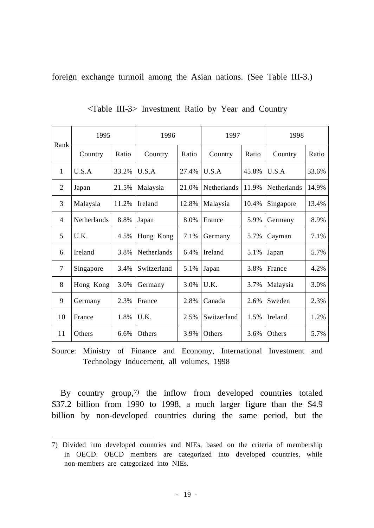foreign exchange turmoil among the Asian nations. (See Table III-3.)

| Rank           | 1995               |       | 1996        |       | 1997        |       | 1998               |       |
|----------------|--------------------|-------|-------------|-------|-------------|-------|--------------------|-------|
|                | Country            | Ratio | Country     | Ratio | Country     | Ratio | Country            | Ratio |
| 1              | U.S.A              | 33.2% | U.S.A       | 27.4% | U.S.A       | 45.8% | U.S.A              | 33.6% |
| 2              | Japan              | 21.5% | Malaysia    | 21.0% | Netherlands | 11.9% | <b>Netherlands</b> | 14.9% |
| 3              | Malaysia           | 11.2% | Ireland     | 12.8% | Malaysia    | 10.4% | Singapore          | 13.4% |
| 4              | <b>Netherlands</b> | 8.8%  | Japan       | 8.0%  | France      | 5.9%  | Germany            | 8.9%  |
| 5              | U.K.               | 4.5%  | Hong Kong   | 7.1%  | Germany     | 5.7%  | Cayman             | 7.1%  |
| 6              | Ireland            | 3.8%  | Netherlands | 6.4%  | Ireland     | 5.1%  | Japan              | 5.7%  |
| $\overline{7}$ | Singapore          | 3.4%  | Switzerland | 5.1%  | Japan       | 3.8%  | France             | 4.2%  |
| 8              | Hong Kong          | 3.0%  | Germany     | 3.0%  | U.K.        | 3.7%  | Malaysia           | 3.0%  |
| 9              | Germany            | 2.3%  | France      | 2.8%  | Canada      | 2.6%  | Sweden             | 2.3%  |
| 10             | France             | 1.8%  | U.K.        | 2.5%  | Switzerland | 1.5%  | Ireland            | 1.2%  |
| 11             | Others             | 6.6%  | Others      | 3.9%  | Others      | 3.6%  | Others             | 5.7%  |

<Table III-3> Investment Ratio by Year and Country

Source: Ministry of Finance and Economy, International Investment and Technology Inducement, all volumes, 1998

By country group, 7) the inflow from developed countries totaled \$37.2 billion from 1990 to 1998, a much larger figure than the \$4.9 billion by non-developed countries during the same period, but the

<sup>7)</sup> Divided into developed countries and NIEs, based on the criteria of membership in OECD. OECD members are categorized into developed countries, while non-members are categorized into NIEs.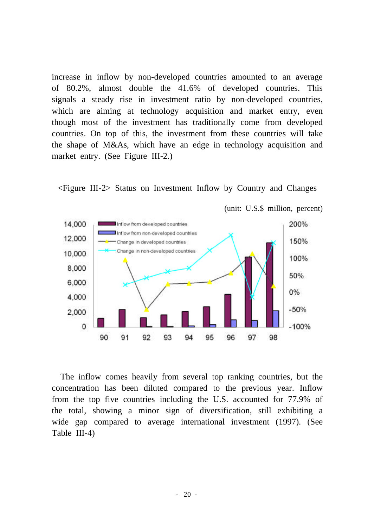increase in inflow by non-developed countries amounted to an average of 80.2%, almost double the 41.6% of developed countries. This signals a steady rise in investment ratio by non-developed countries, which are aiming at technology acquisition and market entry, even though most of the investment has traditionally come from developed countries. On top of this, the investment from these countries will take the shape of M&As, which have an edge in technology acquisition and market entry. (See Figure III-2.)





The inflow comes heavily from several top ranking countries, but the concentration has been diluted compared to the previous year. Inflow from the top five countries including the U.S. accounted for 77.9% of the total, showing a minor sign of diversification, still exhibiting a wide gap compared to average international investment (1997). (See Table III-4)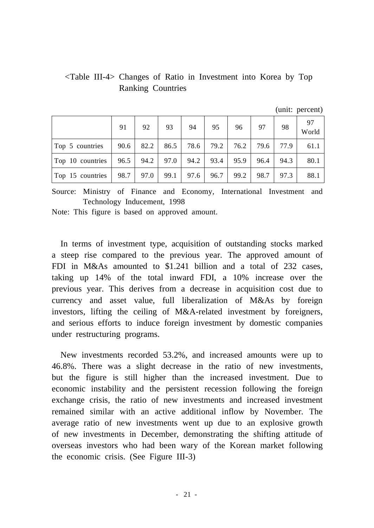# <Table III-4> Changes of Ratio in Investment into Korea by Top Ranking Countries

 $(\text{unit:} \text{percent})$ 

|                                                               |    |                      |    |               |      |      |      |        | $\mu$ . porovin $\mu$ |
|---------------------------------------------------------------|----|----------------------|----|---------------|------|------|------|--------|-----------------------|
|                                                               | 91 | 92                   | 93 | 94            | 95   | 96   | 97   | 98     | 97<br>World           |
| Top 5 countries                                               |    | $90.6$   82.2   86.5 |    | 78.6          | 79.2 | 76.2 | 79.6 | 77.9 l | 61.1                  |
| Top 10 countries   $96.5$   $94.2$   $97.0$   $94.2$   $93.4$ |    |                      |    |               |      | 95.9 | 96.4 | 94.3   | 80.1                  |
| Top 15 countries                                              |    | $98.7$   97.0        |    | $99.1$   97.6 | 96.7 | 99.2 | 98.7 | 97.3   | 88.1                  |

Source: Ministry of Finance and Economy, International Investment and Technology Inducement, 1998

Note: This figure is based on approved amount.

In terms of investment type, acquisition of outstanding stocks marked a steep rise compared to the previous year. The approved amount of FDI in M&As amounted to \$1.241 billion and a total of 232 cases. taking up 14% of the total inward FDI, a 10% increase over the previous year. This derives from a decrease in acquisition cost due to currency and asset value, full liberalization of M&As by foreign investors, lifting the ceiling of M&A-related investment by foreigners, and serious efforts to induce foreign investment by domestic companies under restructuring programs.

New investments recorded 53.2%, and increased amounts were up to 46.8%. There was a slight decrease in the ratio of new investments, but the figure is still higher than the increased investment. Due to economic instability and the persistent recession following the foreign exchange crisis, the ratio of new investments and increased investment remained similar with an active additional inflow by November. The average ratio of new investments went up due to an explosive growth of new investments in December, demonstrating the shifting attitude of overseas investors who had been wary of the Korean market following the economic crisis. (See Figure III-3)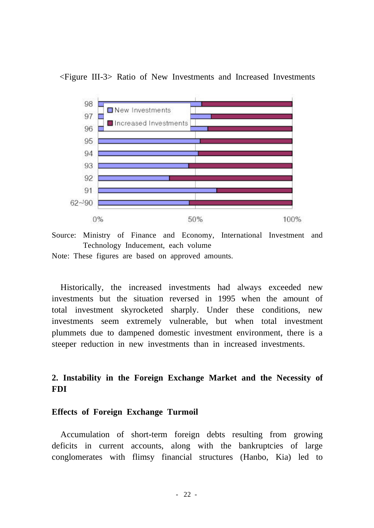



Source: Ministry of Finance and Economy, International Investment and Technology Inducement, each volume

Note: These figures are based on approved amounts.

Historically, the increased investments had always exceeded new investments but the situation reversed in 1995 when the amount of total investment skyrocketed sharply. Under these conditions, new investments seem extremely vulnerable, but when total investment plummets due to dampened domestic investment environment, there is a steeper reduction in new investments than in increased investments.

# **2. Instability in the Foreign Exchange Market and the Necessity of FDI**

#### **Effects of Foreign Exchange Turmoil**

Accumulation of short-term foreign debts resulting from growing deficits in current accounts, along with the bankruptcies of large conglomerates with flimsy financial structures (Hanbo, Kia) led to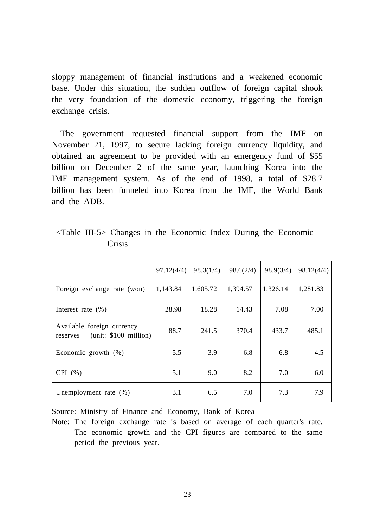sloppy management of financial institutions and a weakened economic base. Under this situation, the sudden outflow of foreign capital shook the very foundation of the domestic economy, triggering the foreign exchange crisis.

The government requested financial support from the IMF on November 21, 1997, to secure lacking foreign currency liquidity, and obtained an agreement to be provided with an emergency fund of \$55 billion on December 2 of the same year, launching Korea into the IMF management system. As of the end of 1998, a total of \$28.7 billion has been funneled into Korea from the IMF, the World Bank and the ADB.

|                                                                 | 97.12(4/4) | 98.3(1/4) | 98.6(2/4) | 98.9(3/4) | 98.12(4/4) |
|-----------------------------------------------------------------|------------|-----------|-----------|-----------|------------|
| Foreign exchange rate (won)                                     | 1,143.84   | 1,605.72  | 1,394.57  | 1,326.14  | 1,281.83   |
| Interest rate $(\% )$                                           | 28.98      | 18.28     | 14.43     | 7.08      | 7.00       |
| Available foreign currency<br>(unit: \$100 million)<br>reserves | 88.7       | 241.5     | 370.4     | 433.7     | 485.1      |
| Economic growth (%)                                             | 5.5        | $-3.9$    | $-6.8$    | $-6.8$    | $-4.5$     |
| CPI(%)                                                          | 5.1        | 9.0       | 8.2       | 7.0       | 6.0        |
| Unemployment rate $(\%)$                                        | 3.1        | 6.5       | 7.0       | 7.3       | 7.9        |

<Table III-5> Changes in the Economic Index During the Economic Crisis

Source: Ministry of Finance and Economy, Bank of Korea

Note: The foreign exchange rate is based on average of each quarter's rate. The economic growth and the CPI figures are compared to the same period the previous year.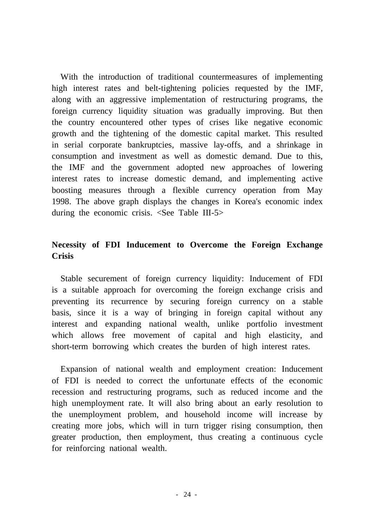With the introduction of traditional countermeasures of implementing high interest rates and belt-tightening policies requested by the IMF, along with an aggressive implementation of restructuring programs, the foreign currency liquidity situation was gradually improving. But then the country encountered other types of crises like negative economic growth and the tightening of the domestic capital market. This resulted in serial corporate bankruptcies, massive lay-offs, and a shrinkage in consumption and investment as well as domestic demand. Due to this, the IMF and the government adopted new approaches of lowering interest rates to increase domestic demand, and implementing active boosting measures through a flexible currency operation from May 1998. The above graph displays the changes in Korea's economic index during the economic crisis. <See Table III-5>

# **Necessity of FDI Inducement to Overcome the Foreign Exchange Crisis**

Stable securement of foreign currency liquidity: Inducement of FDI is a suitable approach for overcoming the foreign exchange crisis and preventing its recurrence by securing foreign currency on a stable basis, since it is a way of bringing in foreign capital without any interest and expanding national wealth, unlike portfolio investment which allows free movement of capital and high elasticity, and short-term borrowing which creates the burden of high interest rates.

Expansion of national wealth and employment creation: Inducement of FDI is needed to correct the unfortunate effects of the economic recession and restructuring programs, such as reduced income and the high unemployment rate. It will also bring about an early resolution to the unemployment problem, and household income will increase by creating more jobs, which will in turn trigger rising consumption, then greater production, then employment, thus creating a continuous cycle for reinforcing national wealth.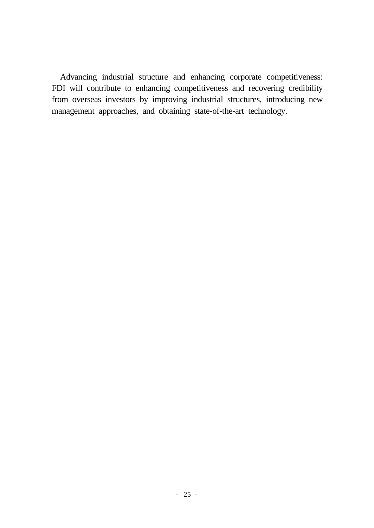Advancing industrial structure and enhancing corporate competitiveness: FDI will contribute to enhancing competitiveness and recovering credibility from overseas investors by improving industrial structures, introducing new management approaches, and obtaining state-of-the-art technology.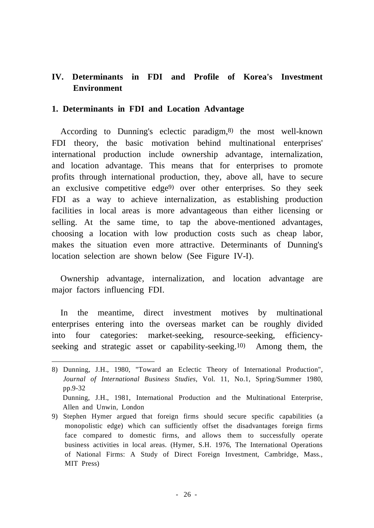# **IV. Determinants in FDI and Profile of Korea's Investment Environment**

## **1. Determinants in FDI and Location Advantage**

According to Dunning's eclectic paradigm, 8) the most well-known FDI theory, the basic motivation behind multinational enterprises' international production include ownership advantage, internalization, and location advantage. This means that for enterprises to promote profits through international production, they, above all, have to secure an exclusive competitive edge<sup>9)</sup> over other enterprises. So they seek FDI as a way to achieve internalization, as establishing production facilities in local areas is more advantageous than either licensing or selling. At the same time, to tap the above-mentioned advantages, choosing a location with low production costs such as cheap labor, makes the situation even more attractive. Determinants of Dunning's location selection are shown below (See Figure IV-I).

Ownership advantage, internalization, and location advantage are major factors influencing FDI.

In the meantime, direct investment motives by multinational enterprises entering into the overseas market can be roughly divided into four categories: market-seeking, resource-seeking, efficiencyseeking and strategic asset or capability-seeking.<sup>10)</sup> Among them, the

<sup>8)</sup> Dunning, J.H., 1980, "Toward an Eclectic Theory of International Production", *Journal of International Business Studies*, Vol. 11, No.1, Spring/Summer 1980, pp.9-32 Dunning, J.H., 1981, International Production and the Multinational Enterprise,

Allen and Unwin, London

<sup>9)</sup> Stephen Hymer argued that foreign firms should secure specific capabilities (a monopolistic edge) which can sufficiently offset the disadvantages foreign firms face compared to domestic firms, and allows them to successfully operate business activities in local areas. (Hymer, S.H. 1976, The International Operations of National Firms: A Study of Direct Foreign Investment, Cambridge, Mass., MIT Press)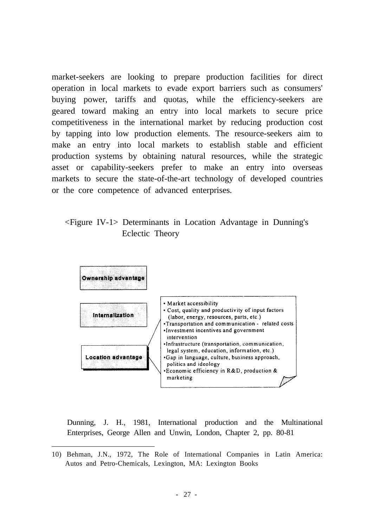market-seekers are looking to prepare production facilities for direct operation in local markets to evade export barriers such as consumers' buying power, tariffs and quotas, while the efficiency-seekers are geared toward making an entry into local markets to secure price competitiveness in the international market by reducing production cost by tapping into low production elements. The resource-seekers aim to make an entry into local markets to establish stable and efficient production systems by obtaining natural resources, while the strategic asset or capability-seekers prefer to make an entry into overseas markets to secure the state-of-the-art technology of developed countries or the core competence of advanced enterprises.

<Figure IV-1> Determinants in Location Advantage in Dunning's Eclectic Theory



Dunning, J. H., 1981, International production and the Multinational Enterprises, George Allen and Unwin, London, Chapter 2, pp. 80-81

<sup>10)</sup> Behman, J.N., 1972, The Role of International Companies in Latin America: Autos and Petro-Chemicals, Lexington, MA: Lexington Books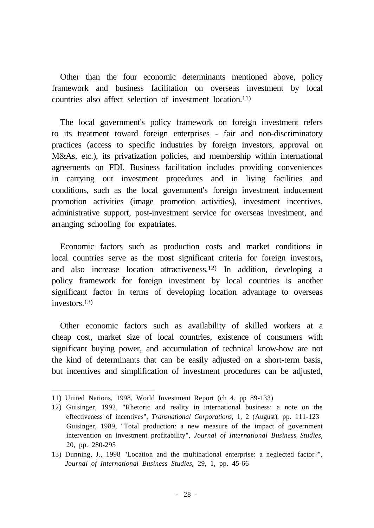Other than the four economic determinants mentioned above, policy framework and business facilitation on overseas investment by local countries also affect selection of investment location. 11)

The local government's policy framework on foreign investment refers to its treatment toward foreign enterprises - fair and non-discriminatory practices (access to specific industries by foreign investors, approval on M&As, etc.), its privatization policies, and membership within international agreements on FDI. Business facilitation includes providing conveniences in carrying out investment procedures and in living facilities and conditions, such as the local government's foreign investment inducement promotion activities (image promotion activities), investment incentives, administrative support, post-investment service for overseas investment, and arranging schooling for expatriates.

Economic factors such as production costs and market conditions in local countries serve as the most significant criteria for foreign investors, and also increase location attractiveness. 12) In addition, developing a policy framework for foreign investment by local countries is another significant factor in terms of developing location advantage to overseas investors. 13)

Other economic factors such as availability of skilled workers at a cheap cost, market size of local countries, existence of consumers with significant buying power, and accumulation of technical know-how are not the kind of determinants that can be easily adjusted on a short-term basis, but incentives and simplification of investment procedures can be adjusted,

<sup>11)</sup> United Nations, 1998, World Investment Report (ch 4, pp 89-133)

<sup>12)</sup> Guisinger, 1992, "Rhetoric and reality in international business: a note on the effectiveness of incentives", *Transnational Corporations*, 1, 2 (August), pp. 111-123 Guisinger, 1989, "Total production: a new measure of the impact of government intervention on investment profitability", *Journal of International Business Studies*, 20, pp. 280-295

<sup>13)</sup> Dunning, J., 1998 "Location and the multinational enterprise: a neglected factor?", *Journal of International Business Studies*, 29, 1, pp. 45-66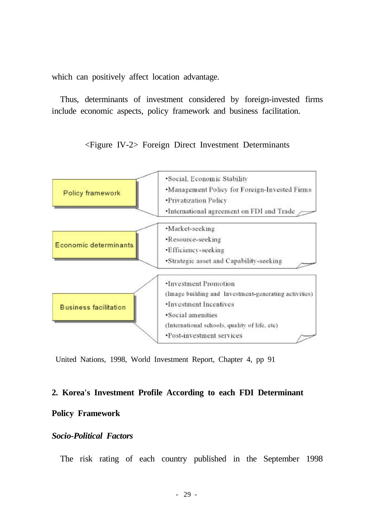which can positively affect location advantage.

Thus, determinants of investment considered by foreign-invested firms include economic aspects, policy framework and business facilitation.

#### <Figure IV-2> Foreign Direct Investment Determinants



United Nations, 1998, World Investment Report, Chapter 4, pp 91

#### **2. Korea's Investment Profile According to each FDI Determinant**

#### **Policy Framework**

## *Socio-Political Factors*

The risk rating of each country published in the September 1998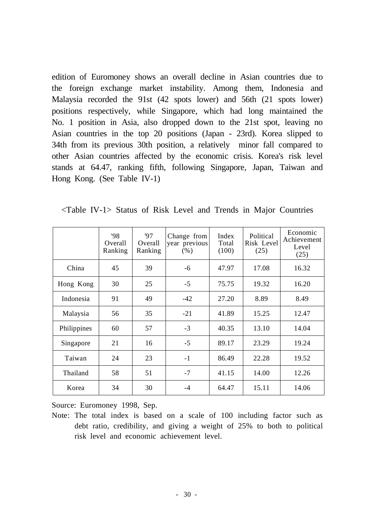edition of Euromoney shows an overall decline in Asian countries due to the foreign exchange market instability. Among them, Indonesia and Malaysia recorded the 91st (42 spots lower) and 56th (21 spots lower) positions respectively, while Singapore, which had long maintained the No. 1 position in Asia, also dropped down to the 21st spot, leaving no Asian countries in the top 20 positions (Japan - 23rd). Korea slipped to 34th from its previous 30th position, a relatively minor fall compared to other Asian countries affected by the economic crisis. Korea's risk level stands at 64.47, ranking fifth, following Singapore, Japan, Taiwan and Hong Kong. (See Table IV-1)

| $\langle$ Table IV-1> Status of Risk Level and Trends in Major Countries |  |
|--------------------------------------------------------------------------|--|
|--------------------------------------------------------------------------|--|

|             | '98<br>Overall<br>Ranking | 97<br>Overall<br>Ranking | Change from<br>year previous<br>$(\% )$ | Index<br>Total<br>(100) | Political<br>Risk Level<br>(25) | Economic<br>Achievement<br>Level<br>(25) |
|-------------|---------------------------|--------------------------|-----------------------------------------|-------------------------|---------------------------------|------------------------------------------|
| China       | 45                        | 39                       | -6                                      | 47.97                   | 17.08                           | 16.32                                    |
| Hong Kong   | 30                        | 25                       | $-5$                                    | 75.75                   | 19.32                           | 16.20                                    |
| Indonesia   | 91                        | 49                       | $-42$                                   | 27.20                   | 8.89                            | 8.49                                     |
| Malaysia    | 56                        | 35                       | $-21$                                   | 41.89                   | 15.25                           | 12.47                                    |
| Philippines | 60                        | 57                       | $-3$                                    | 40.35                   | 13.10                           | 14.04                                    |
| Singapore   | 21                        | 16                       | $-5$                                    | 89.17                   | 23.29                           | 19.24                                    |
| Taiwan      | 24                        | 23                       | $-1$                                    | 86.49                   | 22.28                           | 19.52                                    |
| Thailand    | 58                        | 51                       | $-7$                                    | 41.15                   | 14.00                           | 12.26                                    |
| Korea       | 34                        | 30                       | $-4$                                    | 64.47                   | 15.11                           | 14.06                                    |

Source: Euromoney 1998, Sep.

Note: The total index is based on a scale of 100 including factor such as debt ratio, credibility, and giving a weight of 25% to both to political risk level and economic achievement level.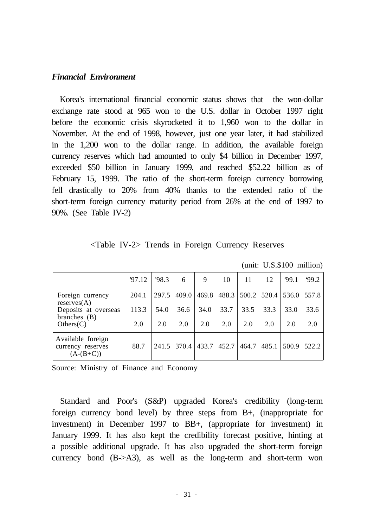#### *Financial Environment*

Korea's international financial economic status shows that the won-dollar exchange rate stood at 965 won to the U.S. dollar in October 1997 right before the economic crisis skyrocketed it to 1,960 won to the dollar in November. At the end of 1998, however, just one year later, it had stabilized in the 1,200 won to the dollar range. In addition, the available foreign currency reserves which had amounted to only \$4 billion in December 1997, exceeded \$50 billion in January 1999, and reached \$52.22 billion as of February 15, 1999. The ratio of the short-term foreign currency borrowing fell drastically to 20% from 40% thanks to the extended ratio of the short-term foreign currency maturity period from 26% at the end of 1997 to 90%. (See Table IV-2)

<Table IV-2> Trends in Foreign Currency Reserves

|                                                       | 97.12 | 98.3  | 6             | 9    | 10                                  | 11    | 12     | 99.1 | 99.2        |
|-------------------------------------------------------|-------|-------|---------------|------|-------------------------------------|-------|--------|------|-------------|
| Foreign currency<br>reserves(A)                       | 204.1 | 297.5 | 409.0         |      | 469.8 488.3 500.2 520.4 536.0 557.8 |       |        |      |             |
| Deposits at overseas                                  | 113.3 | 54.0  | 36.6          | 34.0 | 33.7                                | 33.5  | 33.3   | 33.0 | 33.6        |
| branches $(B)$<br>Others(C)                           | 2.0   | 2.0   | 2.0           | 2.0  | 2.0                                 | 2.0   | 2.0    | 2.0  | 2.0         |
| Available foreign<br>currency reserves<br>$(A-(B+C))$ | 88.7  |       | $241.5$ 370.4 |      | $433.7$   $452.7$                   | 464.7 | 1485.1 |      | 500.9 522.2 |

(unit: U.S.\$100 million)

Source: Ministry of Finance and Economy

Standard and Poor's (S&P) upgraded Korea's credibility (long-term foreign currency bond level) by three steps from B+, (inappropriate for investment) in December 1997 to BB+, (appropriate for investment) in January 1999. It has also kept the credibility forecast positive, hinting at a possible additional upgrade. It has also upgraded the short-term foreign currency bond (B->A3), as well as the long-term and short-term won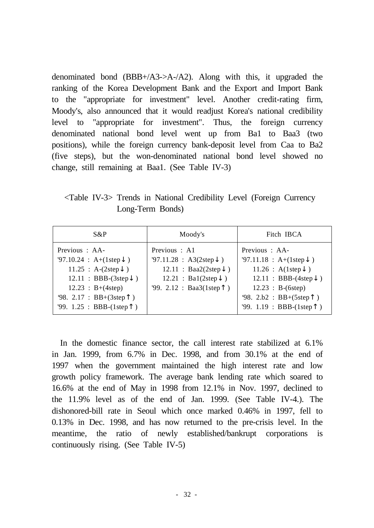denominated bond  $(BBB+/A3 \rightarrow A/2)$ . Along with this, it upgraded the ranking of the Korea Development Bank and the Export and Import Bank to the "appropriate for investment" level. Another credit-rating firm, Moody's, also announced that it would readjust Korea's national credibility level to "appropriate for investment". Thus, the foreign currency denominated national bond level went up from Ba1 to Baa3 (two positions), while the foreign currency bank-deposit level from Caa to Ba2 (five steps), but the won-denominated national bond level showed no change, still remaining at Baa1. (See Table IV-3)

<Table IV-3> Trends in National Credibility Level (Foreign Currency Long-Term Bonds)

| S&P                                                                                                                                        | Moody's                                                                                                                      | Fitch IBCA                                                                                                                              |  |  |
|--------------------------------------------------------------------------------------------------------------------------------------------|------------------------------------------------------------------------------------------------------------------------------|-----------------------------------------------------------------------------------------------------------------------------------------|--|--|
| Previous : AA-<br>$97.10.24 : A+(1step)$<br>$11.25 : A-(2step)$<br>$12.11 : BBB-(3step)$<br>$12.23 : B+(4step)$<br>98. $2.17 : BB+(3step)$ | Previous : A1<br>97.11.28 : A3(2step)<br>12.11 : Baa2(2step)<br>$12.21 : \text{Bal}(2\text{step})$<br>99. 2.12 : Baa3(1step) | Previous : AA-<br>$'97.11.18 : A+(1step)$<br>11.26: A(1step)<br>$12.11 : BBB-(4step)$<br>$12.23 : B-(6step)$<br>$98. 2.b2 : BB+(5step)$ |  |  |
| $99. 1.25 : BBB-(1step)$                                                                                                                   |                                                                                                                              | '99. $1.19 : BBB-(1step)$                                                                                                               |  |  |

In the domestic finance sector, the call interest rate stabilized at 6.1% in Jan. 1999, from 6.7% in Dec. 1998, and from 30.1% at the end of 1997 when the government maintained the high interest rate and low growth policy framework. The average bank lending rate which soared to 16.6% at the end of May in 1998 from 12.1% in Nov. 1997, declined to the 11.9% level as of the end of Jan. 1999. (See Table IV-4.). The dishonored-bill rate in Seoul which once marked 0.46% in 1997, fell to 0.13% in Dec. 1998, and has now returned to the pre-crisis level. In the meantime, the ratio of newly established/bankrupt corporations is continuously rising. (See Table IV-5)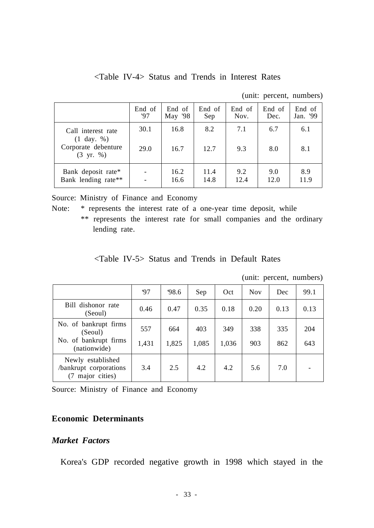<Table IV-4> Status and Trends in Interest Rates

(unit: percent, numbers)

|                                             | End of | End of  | End of | End of | End of | End of   |
|---------------------------------------------|--------|---------|--------|--------|--------|----------|
|                                             | '97    | May '98 | Sep    | Nov.   | Dec.   | Jan. '99 |
| Call interest rate<br>$(1 \text{ day. } %)$ | 30.1   | 16.8    | 8.2    | 7.1    | 6.7    | 6.1      |
| Corporate debenture<br>$(3 \text{ yr. } %)$ | 29.0   | 16.7    | 12.7   | 9.3    | 8.0    | 8.1      |
| Bank deposit rate*                          |        | 16.2    | 11.4   | 9.2    | 9.0    | 8.9      |
| Bank lending rate**                         |        | 16.6    | 14.8   | 12.4   | 12.0   | 11.9     |

Source: Ministry of Finance and Economy

Note: \* represents the interest rate of a one-year time deposit, while

\*\* represents the interest rate for small companies and the ordinary lending rate.

### <Table IV-5> Status and Trends in Default Rates

|                                                              |       |       |       |       |            | unii. pereent, numbers) |      |
|--------------------------------------------------------------|-------|-------|-------|-------|------------|-------------------------|------|
|                                                              | 97    | 98.6  | Sep   | Oct   | <b>Nov</b> | Dec                     | 99.1 |
| Bill dishonor rate<br>(Seoul)                                | 0.46  | 0.47  | 0.35  | 0.18  | 0.20       | 0.13                    | 0.13 |
| No. of bankrupt firms<br>(Seoul)                             | 557   | 664   | 403   | 349   | 338        | 335                     | 204  |
| No. of bankrupt firms<br>(nationwide)                        | 1,431 | 1,825 | 1,085 | 1,036 | 903        | 862                     | 643  |
| Newly established<br>/bankrupt corporations<br>major cities) | 3.4   | 2.5   | 4.2   | 4.2   | 5.6        | 7.0                     |      |

(unit: percent, numbers)

Source: Ministry of Finance and Economy

### **Economic Determinants**

# *Market Factors*

Korea's GDP recorded negative growth in 1998 which stayed in the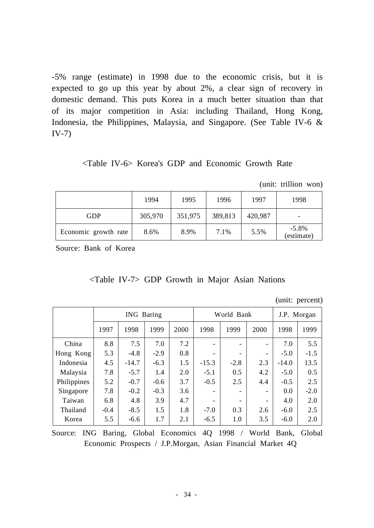-5% range (estimate) in 1998 due to the economic crisis, but it is expected to go up this year by about 2%, a clear sign of recovery in domestic demand. This puts Korea in a much better situation than that of its major competition in Asia: including Thailand, Hong Kong, Indonesia, the Philippines, Malaysia, and Singapore. (See Table IV-6 & IV-7)

<Table IV-6> Korea's GDP and Economic Growth Rate

(unit: trillion won)

|                      | 1994    | 1995    | 1996    | 1997    | 1998                   |
|----------------------|---------|---------|---------|---------|------------------------|
| <b>GDP</b>           | 305,970 | 351,975 | 389,813 | 420,987 | ۰                      |
| Economic growth rate | 8.6%    | 8.9%    | 7.1%    | 5.5%    | $-5.8\%$<br>(estimate) |

Source: Bank of Korea

|  | <table iv-7=""> GDP Growth in Major Asian Nations</table> |  |  |
|--|-----------------------------------------------------------|--|--|
|  |                                                           |  |  |

(unit: percent)

|             | ING Baring |         |        |      | World Bank |        |      | J.P. Morgan |        |
|-------------|------------|---------|--------|------|------------|--------|------|-------------|--------|
|             | 1997       | 1998    | 1999   | 2000 | 1998       | 1999   | 2000 | 1998        | 1999   |
| China       | 8.8        | 7.5     | 7.0    | 7.2  |            |        | ۰    | 7.0         | 5.5    |
| Hong Kong   | 5.3        | $-4.8$  | $-2.9$ | 0.8  |            | -      | ۰    | $-5.0$      | $-1.5$ |
| Indonesia   | 4.5        | $-14.7$ | $-6.3$ | 1.5  | $-15.3$    | $-2.8$ | 2.3  | $-14.0$     | 13.5   |
| Malaysia    | 7.8        | $-5.7$  | 1.4    | 2.0  | $-5.1$     | 0.5    | 4.2  | $-5.0$      | 0.5    |
| Philippines | 5.2        | $-0.7$  | $-0.6$ | 3.7  | $-0.5$     | 2.5    | 4.4  | $-0.5$      | 2.5    |
| Singapore   | 7.8        | $-0.2$  | $-0.3$ | 3.6  |            | -      | ۰    | 0.0         | $-2.0$ |
| Taiwan      | 6.8        | 4.8     | 3.9    | 4.7  |            | -      | ۰    | 4.0         | 2.0    |
| Thailand    | $-0.4$     | $-8.5$  | 1.5    | 1.8  | $-7.0$     | 0.3    | 2.6  | $-6.0$      | 2.5    |
| Korea       | 5.5        | $-6.6$  | 1.7    | 2.1  | $-6.5$     | 1.0    | 3.5  | $-6.0$      | 2.0    |

Source: ING Baring, Global Economics 4Q 1998 / World Bank, Global Economic Prospects / J.P.Morgan, Asian Financial Market 4Q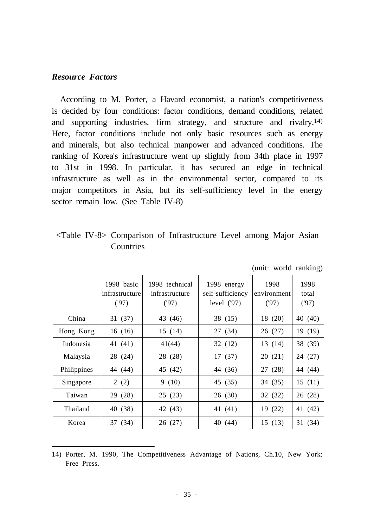#### *Resource Factors*

According to M. Porter, a Havard economist, a nation's competitiveness is decided by four conditions: factor conditions, demand conditions, related and supporting industries, firm strategy, and structure and rivalry. 14) Here, factor conditions include not only basic resources such as energy and minerals, but also technical manpower and advanced conditions. The ranking of Korea's infrastructure went up slightly from 34th place in 1997 to 31st in 1998. In particular, it has secured an edge in technical infrastructure as well as in the environmental sector, compared to its major competitors in Asia, but its self-sufficiency level in the energy sector remain low. (See Table IV-8)

# <Table IV-8> Comparison of Infrastructure Level among Major Asian **Countries**

|             |                                      |                                          |                                                 | $($ where $\ldots$ $\ldots$ $\ldots$ |                       |
|-------------|--------------------------------------|------------------------------------------|-------------------------------------------------|--------------------------------------|-----------------------|
|             | 1998 basic<br>infrastructure<br>(97) | 1998 technical<br>infrastructure<br>(97) | 1998 energy<br>self-sufficiency<br>level $(97)$ | 1998<br>environment<br>(97)          | 1998<br>total<br>(97) |
| China       | 31(37)                               | 43 (46)                                  | 38 (15)                                         | 18 (20)                              | (40)<br>40            |
| Hong Kong   | 16(16)                               | 15(14)                                   | 27 (34)                                         | 26(27)                               | (19)<br>19            |
| Indonesia   | 41 (41)                              | 41(44)                                   | 32(12)                                          | 13 (14)                              | 38 (39)               |
| Malaysia    | 28 (24)                              | 28 (28)                                  | 17(37)                                          | 20(21)                               | (27)<br>24            |
| Philippines | 44 (44)                              | 45 (42)                                  | 44 (36)                                         | 27 (28)                              | 44 (44)               |
| Singapore   | 2(2)                                 | 9(10)                                    | 45 (35)                                         | 34 (35)                              | 15(11)                |
| Taiwan      | 29 (28)                              | 25(23)                                   | 26(30)                                          | 32 (32)                              | (28)<br>26            |
| Thailand    | 40 (38)                              | 42 (43)                                  | 41 (41)                                         | 19 (22)                              | (42)<br>41            |
| Korea       | 37 (34)                              | 26 (27)                                  | 40 (44)                                         | 15(13)                               | (34)<br>31            |

(unit: world ranking)

14) Porter, M. 1990, The Competitiveness Advantage of Nations, Ch.10, New York: Free Press.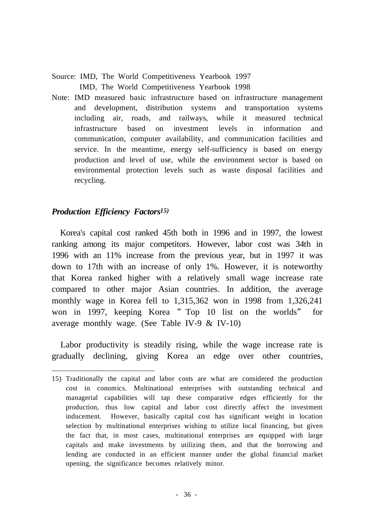Source: IMD, The World Competitiveness Yearbook 1997

IMD, The World Competitiveness Yearbook 1998

Note: IMD measured basic infrastructure based on infrastructure management and development, distribution systems and transportation systems including air, roads, and railways, while it measured technical infrastructure based on investment levels in information and communication, computer availability, and communication facilities and service. In the meantime, energy self-sufficiency is based on energy production and level of use, while the environment sector is based on environmental protection levels such as waste disposal facilities and recycling.

# *Production Efficiency Factors 15)*

Korea's capital cost ranked 45th both in 1996 and in 1997, the lowest ranking among its major competitors. However, labor cost was 34th in 1996 with an 11% increase from the previous year, but in 1997 it was down to 17th with an increase of only 1%. However, it is noteworthy that Korea ranked higher with a relatively small wage increase rate compared to other major Asian countries. In addition, the average monthly wage in Korea fell to 1,315,362 won in 1998 from 1,326,241 won in 1997, keeping Korea "Top 10 list on the worlds" for average monthly wage. (See Table IV-9 & IV-10)

Labor productivity is steadily rising, while the wage increase rate is gradually declining, giving Korea an edge over other countries,

<sup>15)</sup> Traditionally the capital and labor costs are what are considered the production cost in conomics. Multinational enterprises with outstanding technical and managerial capabilities will tap these comparative edges efficiently for the production, thus low capital and labor cost directly affect the investment inducement. However, basically capital cost has significant weight in location selection by multinational enterprises wishing to utilize local financing, but given the fact that, in most cases, multinational enterprises are equipped with large capitals and make investments by utilizing them, and that the borrowing and lending are conducted in an efficient manner under the global financial market opening, the significance becomes relatively minor.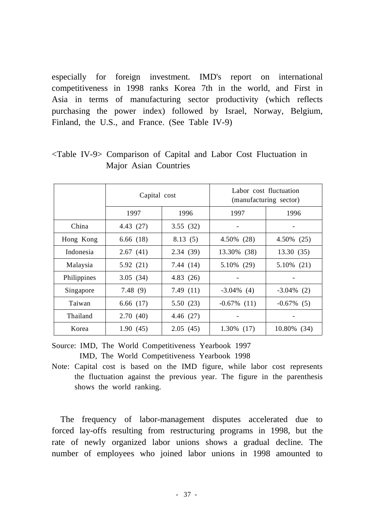especially for foreign investment. IMD's report on international competitiveness in 1998 ranks Korea 7th in the world, and First in Asia in terms of manufacturing sector productivity (which reflects purchasing the power index) followed by Israel, Norway, Belgium, Finland, the U.S., and France. (See Table IV-9)

|             | Capital cost |             | Labor cost fluctuation<br>(manufacturing sector) |               |  |
|-------------|--------------|-------------|--------------------------------------------------|---------------|--|
|             | 1997         | 1996        | 1997                                             | 1996          |  |
| China       | 4.43 (27)    | 3.55(32)    |                                                  |               |  |
| Hong Kong   | 6.66(18)     | 8.13(5)     | 4.50% (28)                                       | 4.50% (25)    |  |
| Indonesia   | 2.67(41)     | 2.34(39)    | 13.30% (38)                                      | 13.30(35)     |  |
| Malaysia    | 5.92(21)     | 7.44 (14)   | 5.10% (29)                                       | $5.10\%$ (21) |  |
| Philippines | 3.05(34)     | 4.83(26)    |                                                  |               |  |
| Singapore   | 7.48(9)      | 7.49(11)    | $-3.04\%$ (4)                                    | $-3.04\%$ (2) |  |
| Taiwan      | 6.66(17)     | 5.50(23)    | $-0.67\%$ (11)                                   | $-0.67\%$ (5) |  |
| Thailand    | 2.70(40)     | 4.46 $(27)$ |                                                  |               |  |
| Korea       | 1.90(45)     | 2.05(45)    | $1.30\%$ (17)                                    | 10.80% (34)   |  |

<Table IV-9> Comparison of Capital and Labor Cost Fluctuation in Major Asian Countries

Source: IMD, The World Competitiveness Yearbook 1997 IMD, The World Competitiveness Yearbook 1998

Note: Capital cost is based on the IMD figure, while labor cost represents the fluctuation against the previous year. The figure in the parenthesis shows the world ranking.

The frequency of labor-management disputes accelerated due to forced lay-offs resulting from restructuring programs in 1998, but the rate of newly organized labor unions shows a gradual decline. The number of employees who joined labor unions in 1998 amounted to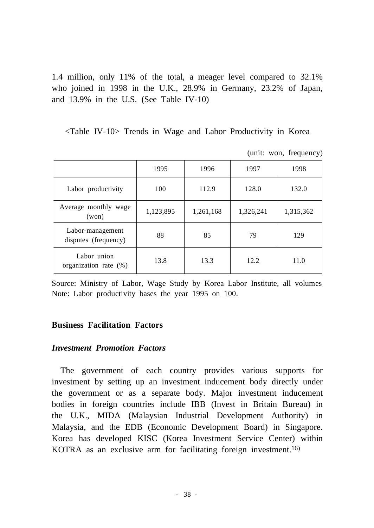1.4 million, only 11% of the total, a meager level compared to 32.1% who joined in 1998 in the U.K., 28.9% in Germany, 23.2% of Japan, and 13.9% in the U.S. (See Table IV-10)

<Table IV-10> Trends in Wage and Labor Productivity in Korea

(unit: won, frequency)

|                                          | 1995      | 1996      | 1997      | 1998      |
|------------------------------------------|-----------|-----------|-----------|-----------|
| Labor productivity                       | 100       | 112.9     | 128.0     | 132.0     |
| Average monthly wage<br>(won)            | 1,123,895 | 1,261,168 | 1,326,241 | 1,315,362 |
| Labor-management<br>disputes (frequency) | 88        | 85        | 79        | 129       |
| Labor union<br>organization rate $(\%)$  | 13.8      | 13.3      | 12.2      | 11.0      |

Source: Ministry of Labor, Wage Study by Korea Labor Institute, all volumes Note: Labor productivity bases the year 1995 on 100.

### **Business Facilitation Factors**

### *Investment Promotion Factors*

The government of each country provides various supports for investment by setting up an investment inducement body directly under the government or as a separate body. Major investment inducement bodies in foreign countries include IBB (Invest in Britain Bureau) in the U.K., MIDA (Malaysian Industrial Development Authority) in Malaysia, and the EDB (Economic Development Board) in Singapore. Korea has developed KISC (Korea Investment Service Center) within KOTRA as an exclusive arm for facilitating foreign investment. 16)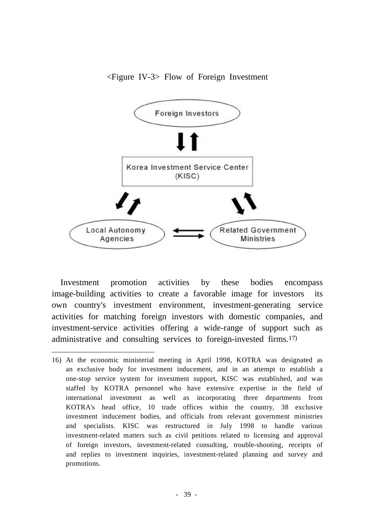### <Figure IV-3> Flow of Foreign Investment



Investment promotion activities by these bodies encompass image-building activities to create a favorable image for investors its own country's investment environment, investment-generating service activities for matching foreign investors with domestic companies, and investment-service activities offering a wide-range of support such as administrative and consulting services to foreign-invested firms. 17)

<sup>16)</sup> At the economic ministerial meeting in April 1998, KOTRA was designated as an exclusive body for investment inducement, and in an attempt to establish a one-stop service system for investment support, KISC was established, and was staffed by KOTRA personnel who have extensive expertise in the field of international investment as well as incorporating three departments from KOTRA's head office, 10 trade offices within the country, 38 exclusive investment inducement bodies, and officials from relevant government ministries and specialists. KISC was restructured in July 1998 to handle various investment-related matters such as civil petitions related to licensing and approval of foreign investors, investment-related consulting, trouble-shooting, receipts of and replies to investment inquiries, investment-related planning and survey and promotions.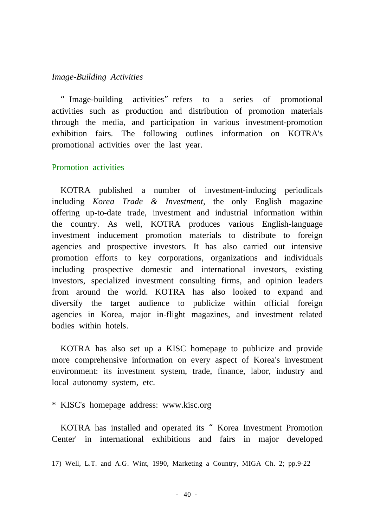#### *Image-Building Activities*

"Image-building activities"refers to a series of promotional activities such as production and distribution of promotion materials through the media, and participation in various investment-promotion exhibition fairs. The following outlines information on KOTRA's promotional activities over the last year.

### Promotion activities

KOTRA published a number of investment-inducing periodicals including *Korea Trade & Investment,* the only English magazine offering up-to-date trade, investment and industrial information within the country. As well, KOTRA produces various English-language investment inducement promotion materials to distribute to foreign agencies and prospective investors. It has also carried out intensive promotion efforts to key corporations, organizations and individuals including prospective domestic and international investors, existing investors, specialized investment consulting firms, and opinion leaders from around the world. KOTRA has also looked to expand and diversify the target audience to publicize within official foreign agencies in Korea, major in-flight magazines, and investment related bodies within hotels.

KOTRA has also set up a KISC homepage to publicize and provide more comprehensive information on every aspect of Korea's investment environment: its investment system, trade, finance, labor, industry and local autonomy system, etc.

\* KISC's homepage address: www.kisc.org

KOTRA has installed and operated its "Korea Investment Promotion Center' in international exhibitions and fairs in major developed

<sup>17)</sup> Well, L.T. and A.G. Wint, 1990, Marketing a Country, MIGA Ch. 2; pp.9-22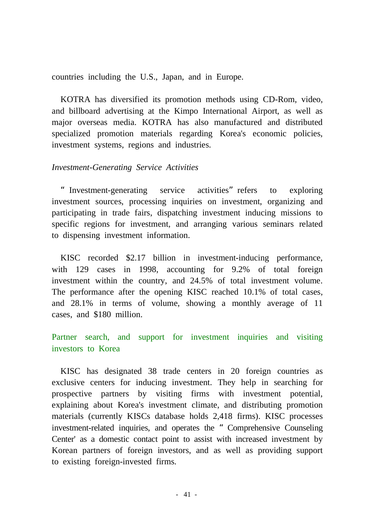countries including the U.S., Japan, and in Europe.

KOTRA has diversified its promotion methods using CD-Rom, video, and billboard advertising at the Kimpo International Airport, as well as major overseas media. KOTRA has also manufactured and distributed specialized promotion materials regarding Korea's economic policies, investment systems, regions and industries.

### *Investment-Generating Service Activities*

"Investment-generating service activities"refers to exploring investment sources, processing inquiries on investment, organizing and participating in trade fairs, dispatching investment inducing missions to specific regions for investment, and arranging various seminars related to dispensing investment information.

KISC recorded \$2.17 billion in investment-inducing performance, with 129 cases in 1998, accounting for 9.2% of total foreign investment within the country, and 24.5% of total investment volume. The performance after the opening KISC reached 10.1% of total cases, and 28.1% in terms of volume, showing a monthly average of 11 cases, and \$180 million.

Partner search, and support for investment inquiries and visiting investors to Korea

KISC has designated 38 trade centers in 20 foreign countries as exclusive centers for inducing investment. They help in searching for prospective partners by visiting firms with investment potential, explaining about Korea's investment climate, and distributing promotion materials (currently KISCs database holds 2,418 firms). KISC processes investment-related inquiries, and operates the "Comprehensive Counseling Center' as a domestic contact point to assist with increased investment by Korean partners of foreign investors, and as well as providing support to existing foreign-invested firms.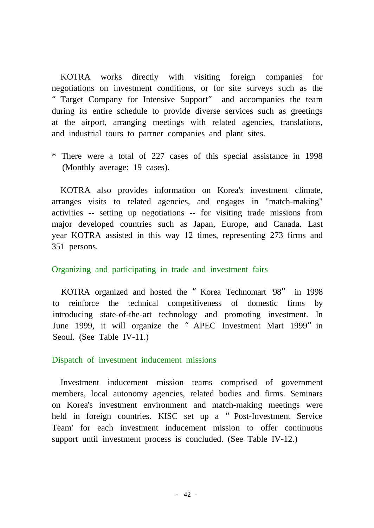KOTRA works directly with visiting foreign companies for negotiations on investment conditions, or for site surveys such as the "Target Company for Intensive Support" and accompanies the team during its entire schedule to provide diverse services such as greetings at the airport, arranging meetings with related agencies, translations, and industrial tours to partner companies and plant sites.

\* There were a total of 227 cases of this special assistance in 1998 (Monthly average: 19 cases).

KOTRA also provides information on Korea's investment climate, arranges visits to related agencies, and engages in "match-making" activities -- setting up negotiations -- for visiting trade missions from major developed countries such as Japan, Europe, and Canada. Last year KOTRA assisted in this way 12 times, representing 273 firms and 351 persons.

### Organizing and participating in trade and investment fairs

KOTRA organized and hosted the "Korea Technomart '98" in 1998 to reinforce the technical competitiveness of domestic firms by introducing state-of-the-art technology and promoting investment. In June 1999, it will organize the "APEC Investment Mart 1999" in Seoul. (See Table IV-11.)

#### Dispatch of investment inducement missions

Investment inducement mission teams comprised of government members, local autonomy agencies, related bodies and firms. Seminars on Korea's investment environment and match-making meetings were held in foreign countries. KISC set up a "Post-Investment Service Team' for each investment inducement mission to offer continuous support until investment process is concluded. (See Table IV-12.)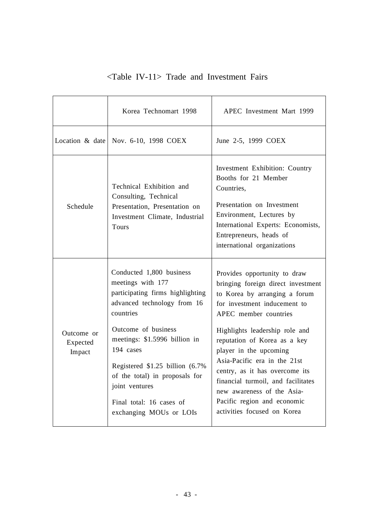|                                  | Korea Technomart 1998                                                                                                                                                                                                                                                                                                                             | APEC Investment Mart 1999                                                                                                                                                                                                                                                                                                                                                                                                                                    |
|----------------------------------|---------------------------------------------------------------------------------------------------------------------------------------------------------------------------------------------------------------------------------------------------------------------------------------------------------------------------------------------------|--------------------------------------------------------------------------------------------------------------------------------------------------------------------------------------------------------------------------------------------------------------------------------------------------------------------------------------------------------------------------------------------------------------------------------------------------------------|
|                                  | Location & date   Nov. $6-10$ , 1998 COEX                                                                                                                                                                                                                                                                                                         | June 2-5, 1999 COEX                                                                                                                                                                                                                                                                                                                                                                                                                                          |
| Schedule                         | Technical Exhibition and<br>Consulting, Technical<br>Presentation, Presentation on<br>Investment Climate, Industrial<br>Tours                                                                                                                                                                                                                     | Investment Exhibition: Country<br>Booths for 21 Member<br>Countries,<br>Presentation on Investment<br>Environment, Lectures by<br>International Experts: Economists,<br>Entrepreneurs, heads of<br>international organizations                                                                                                                                                                                                                               |
| Outcome or<br>Expected<br>Impact | Conducted 1,800 business<br>meetings with 177<br>participating firms highlighting<br>advanced technology from 16<br>countries<br>Outcome of business<br>meetings: \$1.5996 billion in<br>194 cases<br>Registered \$1.25 billion (6.7%)<br>of the total) in proposals for<br>joint ventures<br>Final total: 16 cases of<br>exchanging MOUs or LOIs | Provides opportunity to draw<br>bringing foreign direct investment<br>to Korea by arranging a forum<br>for investment inducement to<br>APEC member countries<br>Highlights leadership role and<br>reputation of Korea as a key<br>player in the upcoming<br>Asia-Pacific era in the 21st<br>centry, as it has overcome its<br>financial turmoil, and facilitates<br>new awareness of the Asia-<br>Pacific region and economic<br>activities focused on Korea |

# <Table IV-11> Trade and Investment Fairs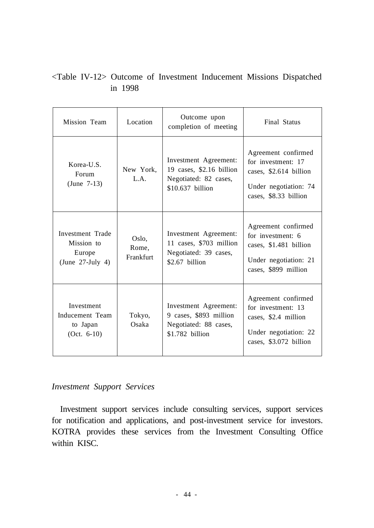# <Table IV-12> Outcome of Investment Inducement Missions Dispatched in 1998

| Mission Team                                                    | Location                    | Outcome upon<br>completion of meeting                                                          | <b>Final Status</b>                                                                                                   |
|-----------------------------------------------------------------|-----------------------------|------------------------------------------------------------------------------------------------|-----------------------------------------------------------------------------------------------------------------------|
| Korea-U.S.<br>Forum<br>(June $7-13$ )                           | New York,<br>L.A.           | Investment Agreement:<br>19 cases, \$2.16 billion<br>Negotiated: 82 cases,<br>\$10.637 billion | Agreement confirmed<br>for investment: 17<br>cases, \$2.614 billion<br>Under negotiation: 74<br>cases, \$8.33 billion |
| Investment Trade<br>Mission to<br>Europe<br>(June $27$ -July 4) | Oslo,<br>Rome,<br>Frankfurt | Investment Agreement:<br>11 cases, \$703 million<br>Negotiated: 39 cases,<br>$$2.67$ billion   | Agreement confirmed<br>for investment: 6<br>cases, \$1.481 billion<br>Under negotiation: 21<br>cases, \$899 million   |
| Investment<br>Inducement Team<br>to Japan<br>$(Oct. 6-10)$      | Tokyo,<br>Osaka             | Investment Agreement:<br>9 cases, \$893 million<br>Negotiated: 88 cases,<br>\$1.782 billion    | Agreement confirmed<br>for investment: 13<br>cases, \$2.4 million<br>Under negotiation: 22<br>cases, \$3.072 billion  |

## *Investment Support Services*

Investment support services include consulting services, support services for notification and applications, and post-investment service for investors. KOTRA provides these services from the Investment Consulting Office within KISC.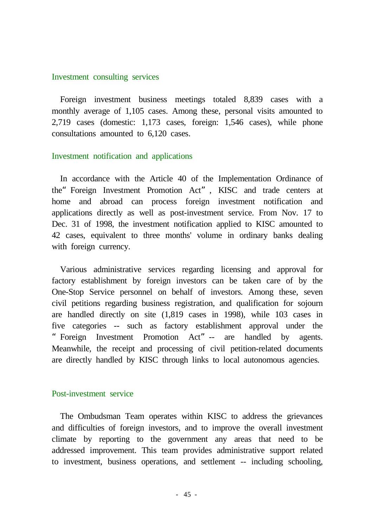#### Investment consulting services

Foreign investment business meetings totaled 8,839 cases with a monthly average of 1,105 cases. Among these, personal visits amounted to 2,719 cases (domestic: 1,173 cases, foreign: 1,546 cases), while phone consultations amounted to 6,120 cases.

#### Investment notification and applications

In accordance with the Article 40 of the Implementation Ordinance of the"Foreign Investment Promotion Act", KISC and trade centers at home and abroad can process foreign investment notification and applications directly as well as post-investment service. From Nov. 17 to Dec. 31 of 1998, the investment notification applied to KISC amounted to 42 cases, equivalent to three months' volume in ordinary banks dealing with foreign currency.

Various administrative services regarding licensing and approval for factory establishment by foreign investors can be taken care of by the One-Stop Service personnel on behalf of investors. Among these, seven civil petitions regarding business registration, and qualification for sojourn are handled directly on site (1,819 cases in 1998), while 103 cases in five categories -- such as factory establishment approval under the "Foreign Investment Promotion Act"-- are handled by agents. Meanwhile, the receipt and processing of civil petition-related documents are directly handled by KISC through links to local autonomous agencies.

#### Post-investment service

The Ombudsman Team operates within KISC to address the grievances and difficulties of foreign investors, and to improve the overall investment climate by reporting to the government any areas that need to be addressed improvement. This team provides administrative support related to investment, business operations, and settlement -- including schooling,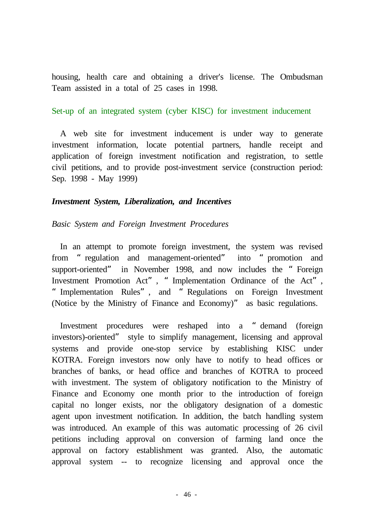housing, health care and obtaining a driver's license. The Ombudsman Team assisted in a total of 25 cases in 1998.

#### Set-up of an integrated system (cyber KISC) for investment inducement

A web site for investment inducement is under way to generate investment information, locate potential partners, handle receipt and application of foreign investment notification and registration, to settle civil petitions, and to provide post-investment service (construction period: Sep. 1998 - May 1999)

### *Investment System, Liberalization, and Incentives*

#### *Basic System and Foreign Investment Procedures*

In an attempt to promote foreign investment, the system was revised from "regulation and management-oriented" into "promotion and support-oriented" in November 1998, and now includes the "Foreign Investment Promotion Act", "Implementation Ordinance of the Act", "Implementation Rules", and "Regulations on Foreign Investment (Notice by the Ministry of Finance and Economy)" as basic regulations.

Investment procedures were reshaped into a "demand (foreign investors)-oriented" style to simplify management, licensing and approval systems and provide one-stop service by establishing KISC under KOTRA. Foreign investors now only have to notify to head offices or branches of banks, or head office and branches of KOTRA to proceed with investment. The system of obligatory notification to the Ministry of Finance and Economy one month prior to the introduction of foreign capital no longer exists, nor the obligatory designation of a domestic agent upon investment notification. In addition, the batch handling system was introduced. An example of this was automatic processing of 26 civil petitions including approval on conversion of farming land once the approval on factory establishment was granted. Also, the automatic approval system -- to recognize licensing and approval once the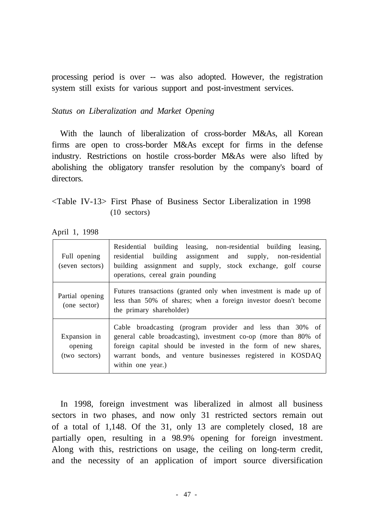processing period is over -- was also adopted. However, the registration system still exists for various support and post-investment services.

# *Status on Liberalization and Market Opening*

With the launch of liberalization of cross-border M&As, all Korean firms are open to cross-border M&As except for firms in the defense industry. Restrictions on hostile cross-border M&As were also lifted by abolishing the obligatory transfer resolution by the company's board of directors.

# <Table IV-13> First Phase of Business Sector Liberalization in 1998 (10 sectors)

April 1, 1998

| Full opening<br>(seven sectors)          | Residential building leasing, non-residential building leasing,<br>residential building assignment and supply, non-residential<br>building assignment and supply, stock exchange, golf course<br>operations, cereal grain pounding                                               |
|------------------------------------------|----------------------------------------------------------------------------------------------------------------------------------------------------------------------------------------------------------------------------------------------------------------------------------|
| Partial opening<br>(one sector)          | Futures transactions (granted only when investment is made up of<br>less than 50% of shares; when a foreign investor doesn't become<br>the primary shareholder)                                                                                                                  |
| Expansion in<br>opening<br>(two sectors) | Cable broadcasting (program provider and less than 30% of<br>general cable broadcasting), investment co-op (more than 80% of<br>foreign capital should be invested in the form of new shares,<br>warrant bonds, and venture businesses registered in KOSDAQ<br>within one year.) |

In 1998, foreign investment was liberalized in almost all business sectors in two phases, and now only 31 restricted sectors remain out of a total of 1,148. Of the 31, only 13 are completely closed, 18 are partially open, resulting in a 98.9% opening for foreign investment. Along with this, restrictions on usage, the ceiling on long-term credit, and the necessity of an application of import source diversification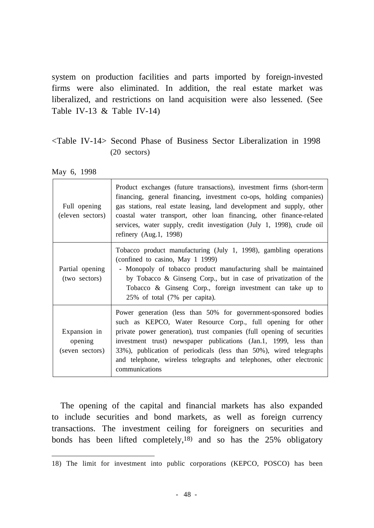system on production facilities and parts imported by foreign-invested firms were also eliminated. In addition, the real estate market was liberalized, and restrictions on land acquisition were also lessened. (See Table IV-13  $&$  Table IV-14)

# <Table IV-14> Second Phase of Business Sector Liberalization in 1998 (20 sectors)

May 6, 1998

| Full opening<br>(eleven sectors)           | Product exchanges (future transactions), investment firms (short-term<br>financing, general financing, investment co-ops, holding companies)<br>gas stations, real estate leasing, land development and supply, other<br>coastal water transport, other loan financing, other finance-related<br>services, water supply, credit investigation (July 1, 1998), crude oil<br>refinery $(Aug.1, 1998)$                                         |
|--------------------------------------------|---------------------------------------------------------------------------------------------------------------------------------------------------------------------------------------------------------------------------------------------------------------------------------------------------------------------------------------------------------------------------------------------------------------------------------------------|
| Partial opening<br>(two sectors)           | Tobacco product manufacturing (July 1, 1998), gambling operations<br>(confined to casino, May 1 1999)<br>- Monopoly of tobacco product manufacturing shall be maintained<br>by Tobacco & Ginseng Corp., but in case of privatization of the<br>Tobacco & Ginseng Corp., foreign investment can take up to<br>25% of total (7% per capita).                                                                                                  |
| Expansion in<br>opening<br>(seven sectors) | Power generation (less than 50% for government-sponsored bodies<br>such as KEPCO, Water Resource Corp., full opening for other<br>private power generation), trust companies (full opening of securities<br>investment trust) newspaper publications (Jan.1, 1999, less than<br>33%), publication of periodicals (less than 50%), wired telegraphs<br>and telephone, wireless telegraphs and telephones, other electronic<br>communications |

The opening of the capital and financial markets has also expanded to include securities and bond markets, as well as foreign currency transactions. The investment ceiling for foreigners on securities and bonds has been lifted completely, 18) and so has the 25% obligatory

<sup>18)</sup> The limit for investment into public corporations (KEPCO, POSCO) has been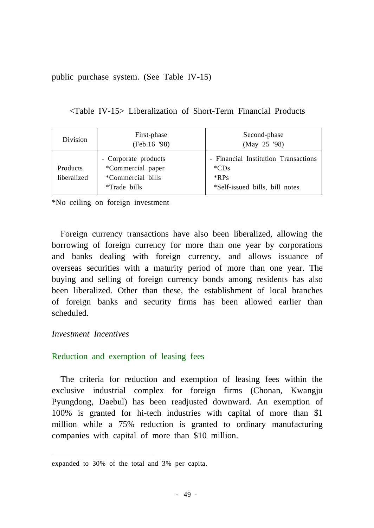public purchase system. (See Table IV-15)

<Table IV-15> Liberalization of Short-Term Financial Products

| Division                | First-phase<br>(Feb.16 '98)                                                           | Second-phase<br>(May 25 '98)                                                                 |
|-------------------------|---------------------------------------------------------------------------------------|----------------------------------------------------------------------------------------------|
| Products<br>liberalized | - Corporate products<br>*Commercial paper<br><i>*Commercial bills</i><br>*Trade bills | - Financial Institution Transactions<br>$^*CDs$<br>$*$ RPs<br>*Self-issued bills, bill notes |

\*No ceiling on foreign investment

Foreign currency transactions have also been liberalized, allowing the borrowing of foreign currency for more than one year by corporations and banks dealing with foreign currency, and allows issuance of overseas securities with a maturity period of more than one year. The buying and selling of foreign currency bonds among residents has also been liberalized. Other than these, the establishment of local branches of foreign banks and security firms has been allowed earlier than scheduled.

# *Investment Incentives*

# Reduction and exemption of leasing fees

The criteria for reduction and exemption of leasing fees within the exclusive industrial complex for foreign firms (Chonan, Kwangju Pyungdong, Daebul) has been readjusted downward. An exemption of 100% is granted for hi-tech industries with capital of more than \$1 million while a 75% reduction is granted to ordinary manufacturing companies with capital of more than \$10 million.

expanded to 30% of the total and 3% per capita.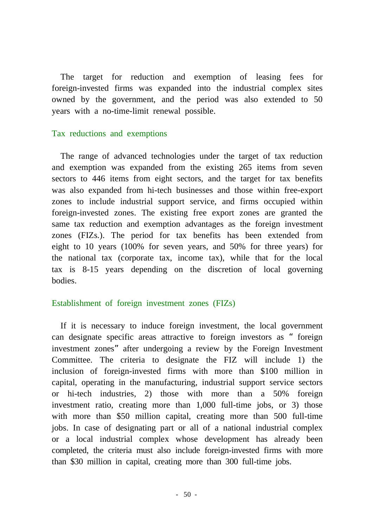The target for reduction and exemption of leasing fees for foreign-invested firms was expanded into the industrial complex sites owned by the government, and the period was also extended to 50 years with a no-time-limit renewal possible.

### Tax reductions and exemptions

The range of advanced technologies under the target of tax reduction and exemption was expanded from the existing 265 items from seven sectors to 446 items from eight sectors, and the target for tax benefits was also expanded from hi-tech businesses and those within free-export zones to include industrial support service, and firms occupied within foreign-invested zones. The existing free export zones are granted the same tax reduction and exemption advantages as the foreign investment zones (FIZs.). The period for tax benefits has been extended from eight to 10 years (100% for seven years, and 50% for three years) for the national tax (corporate tax, income tax), while that for the local tax is 8-15 years depending on the discretion of local governing bodies.

### Establishment of foreign investment zones (FIZs)

If it is necessary to induce foreign investment, the local government can designate specific areas attractive to foreign investors as "foreign investment zones"after undergoing a review by the Foreign Investment Committee. The criteria to designate the FIZ will include 1) the inclusion of foreign-invested firms with more than \$100 million in capital, operating in the manufacturing, industrial support service sectors or hi-tech industries, 2) those with more than a 50% foreign investment ratio, creating more than 1,000 full-time jobs, or 3) those with more than \$50 million capital, creating more than 500 full-time jobs. In case of designating part or all of a national industrial complex or a local industrial complex whose development has already been completed, the criteria must also include foreign-invested firms with more than \$30 million in capital, creating more than 300 full-time jobs.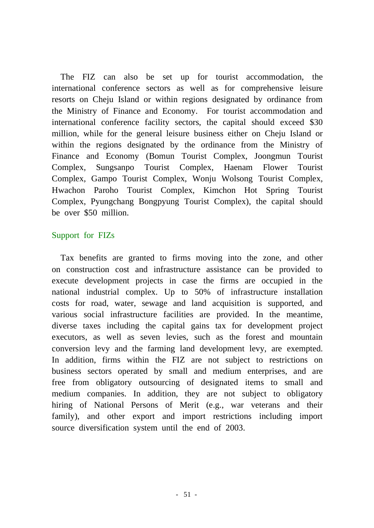The FIZ can also be set up for tourist accommodation, the international conference sectors as well as for comprehensive leisure resorts on Cheju Island or within regions designated by ordinance from the Ministry of Finance and Economy. For tourist accommodation and international conference facility sectors, the capital should exceed \$30 million, while for the general leisure business either on Cheju Island or within the regions designated by the ordinance from the Ministry of Finance and Economy (Bomun Tourist Complex, Joongmun Tourist Complex, Sungsanpo Tourist Complex, Haenam Flower Tourist Complex, Gampo Tourist Complex, Wonju Wolsong Tourist Complex, Hwachon Paroho Tourist Complex, Kimchon Hot Spring Tourist Complex, Pyungchang Bongpyung Tourist Complex), the capital should be over \$50 million.

# Support for FIZs

Tax benefits are granted to firms moving into the zone, and other on construction cost and infrastructure assistance can be provided to execute development projects in case the firms are occupied in the national industrial complex. Up to 50% of infrastructure installation costs for road, water, sewage and land acquisition is supported, and various social infrastructure facilities are provided. In the meantime, diverse taxes including the capital gains tax for development project executors, as well as seven levies, such as the forest and mountain conversion levy and the farming land development levy, are exempted. In addition, firms within the FIZ are not subject to restrictions on business sectors operated by small and medium enterprises, and are free from obligatory outsourcing of designated items to small and medium companies. In addition, they are not subject to obligatory hiring of National Persons of Merit (e.g., war veterans and their family), and other export and import restrictions including import source diversification system until the end of 2003.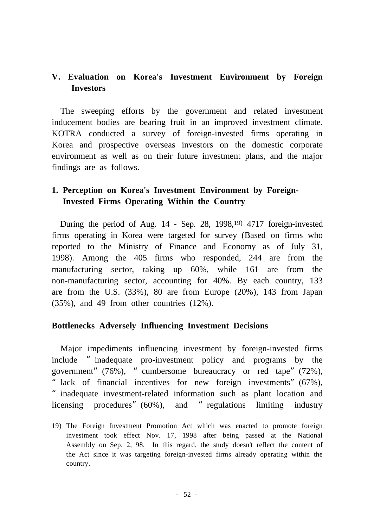# **V. Evaluation on Korea's Investment Environment by Foreign Investors**

The sweeping efforts by the government and related investment inducement bodies are bearing fruit in an improved investment climate. KOTRA conducted a survey of foreign-invested firms operating in Korea and prospective overseas investors on the domestic corporate environment as well as on their future investment plans, and the major findings are as follows.

# **1. Perception on Korea's Investment Environment by Foreign-Invested Firms Operating Within the Country**

During the period of Aug. 14 - Sep. 28, 1998,<sup>19)</sup> 4717 foreign-invested firms operating in Korea were targeted for survey (Based on firms who reported to the Ministry of Finance and Economy as of July 31, 1998). Among the 405 firms who responded, 244 are from the manufacturing sector, taking up 60%, while 161 are from the non-manufacturing sector, accounting for 40%. By each country, 133 are from the U.S. (33%), 80 are from Europe (20%), 143 from Japan (35%), and 49 from other countries (12%).

# **Bottlenecks Adversely Influencing Investment Decisions**

Major impediments influencing investment by foreign-invested firms include "inadequate pro-investment policy and programs by the government"(76%), "cumbersome bureaucracy or red tape"(72%), " lack of financial incentives for new foreign investments" (67%), "inadequate investment-related information such as plant location and licensing procedures" (60%), and "regulations limiting industry

<sup>19)</sup> The Foreign Investment Promotion Act which was enacted to promote foreign investment took effect Nov. 17, 1998 after being passed at the National Assembly on Sep. 2, 98. In this regard, the study doesn't reflect the content of the Act since it was targeting foreign-invested firms already operating within the country.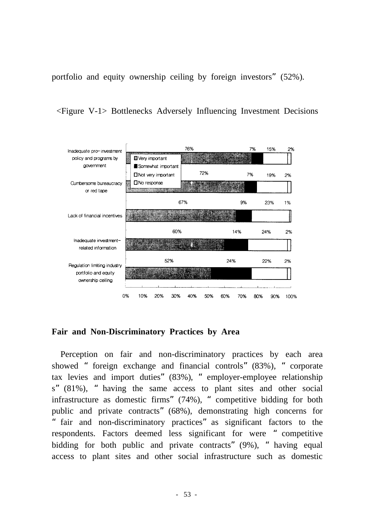portfolio and equity ownership ceiling by foreign investors"(52%).

<Figure V-1> Bottlenecks Adversely Influencing Investment Decisions



# **Fair and Non-Discriminatory Practices by Area**

Perception on fair and non-discriminatory practices by each area showed "foreign exchange and financial controls"(83%), "corporate tax levies and import duties"(83%), "employer-employee relationship s"(81%), "having the same access to plant sites and other social infrastructure as domestic firms"(74%), "competitive bidding for both public and private contracts"(68%), demonstrating high concerns for "fair and non-discriminatory practices"as significant factors to the respondents. Factors deemed less significant for were "competitive bidding for both public and private contracts" (9%), "having equal access to plant sites and other social infrastructure such as domestic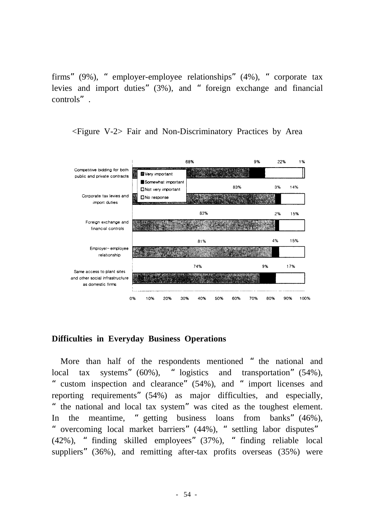firms"(9%), "employer-employee relationships"(4%), "corporate tax levies and import duties"(3%), and "foreign exchange and financial controls".



<Figure V-2> Fair and Non-Discriminatory Practices by Area

# **Difficulties in Everyday Business Operations**

More than half of the respondents mentioned "the national and local tax systems" (60%), "logistics and transportation" (54%), "custom inspection and clearance"(54%), and "import licenses and reporting requirements"(54%) as major difficulties, and especially, "the national and local tax system"was cited as the toughest element. In the meantime, "getting business loans from banks"(46%), "overcoming local market barriers"(44%), "settling labor disputes" (42%), "finding skilled employees"(37%), "finding reliable local suppliers" (36%), and remitting after-tax profits overseas (35%) were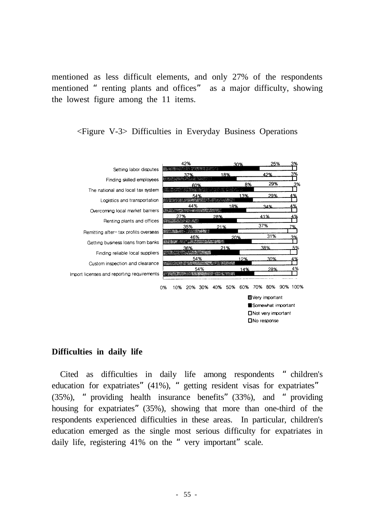mentioned as less difficult elements, and only 27% of the respondents mentioned "renting plants and offices" as a major difficulty, showing the lowest figure among the 11 items.





### **Difficulties in daily life**

Cited as difficulties in daily life among respondents "children's education for expatriates" (41%), " getting resident visas for expatriates" (35%), "providing health insurance benefits"(33%), and "providing housing for expatriates" (35%), showing that more than one-third of the respondents experienced difficulties in these areas. In particular, children's education emerged as the single most serious difficulty for expatriates in daily life, registering 41% on the "very important" scale.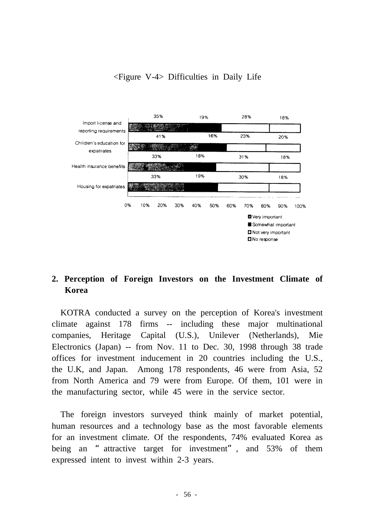# <Figure V-4> Difficulties in Daily Life



# **2. Perception of Foreign Investors on the Investment Climate of Korea**

KOTRA conducted a survey on the perception of Korea's investment climate against 178 firms -- including these major multinational companies, Heritage Capital (U.S.), Unilever (Netherlands), Mie Electronics (Japan) -- from Nov. 11 to Dec. 30, 1998 through 38 trade offices for investment inducement in 20 countries including the U.S., the U.K, and Japan. Among 178 respondents, 46 were from Asia, 52 from North America and 79 were from Europe. Of them, 101 were in the manufacturing sector, while 45 were in the service sector.

The foreign investors surveyed think mainly of market potential, human resources and a technology base as the most favorable elements for an investment climate. Of the respondents, 74% evaluated Korea as being an "attractive target for investment", and 53% of them expressed intent to invest within 2-3 years.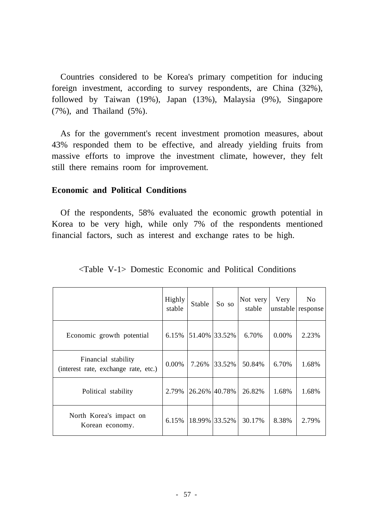Countries considered to be Korea's primary competition for inducing foreign investment, according to survey respondents, are China (32%), followed by Taiwan (19%), Japan (13%), Malaysia (9%), Singapore (7%), and Thailand (5%).

As for the government's recent investment promotion measures, about 43% responded them to be effective, and already yielding fruits from massive efforts to improve the investment climate, however, they felt still there remains room for improvement.

## **Economic and Political Conditions**

Of the respondents, 58% evaluated the economic growth potential in Korea to be very high, while only 7% of the respondents mentioned financial factors, such as interest and exchange rates to be high.

|                                                             | Highly<br>stable | Stable        | So so         | Not very<br>stable | Very     | No<br>unstable response |
|-------------------------------------------------------------|------------------|---------------|---------------|--------------------|----------|-------------------------|
| Economic growth potential                                   | 6.15%            | 51.40% 33.52% |               | 6.70%              | $0.00\%$ | 2.23%                   |
| Financial stability<br>(interest rate, exchange rate, etc.) | $0.00\%$         | 7.26%         | 33.52%        | 50.84%             | 6.70%    | 1.68%                   |
| Political stability                                         | 2.79%            |               | 26.26% 40.78% | 26.82%             | 1.68%    | 1.68%                   |
| North Korea's impact on<br>Korean economy.                  | 6.15%            | 18.99% 33.52% |               | 30.17%             | 8.38%    | 2.79%                   |

<Table V-1> Domestic Economic and Political Conditions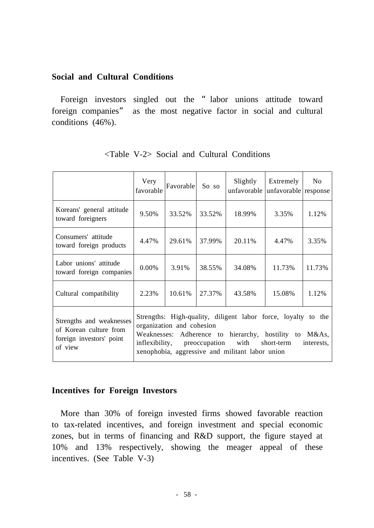## **Social and Cultural Conditions**

Foreign investors singled out the "labor unions attitude toward foreign companies" as the most negative factor in social and cultural conditions (46%).

|                                                                                           | Very<br>favorable                                                                                                                                                                                                                                                           | Favorable | So so  | Slightly<br>unfavorable | Extremely<br>unfavorable response | N <sub>0</sub> |
|-------------------------------------------------------------------------------------------|-----------------------------------------------------------------------------------------------------------------------------------------------------------------------------------------------------------------------------------------------------------------------------|-----------|--------|-------------------------|-----------------------------------|----------------|
| Koreans' general attitude<br>toward foreigners                                            | 9.50%                                                                                                                                                                                                                                                                       | 33.52%    | 33.52% | 18.99%                  | 3.35%                             | 1.12%          |
| Consumers' attitude<br>toward foreign products                                            | 4.47%                                                                                                                                                                                                                                                                       | 29.61%    | 37.99% | 20.11%                  | 4.47%                             | 3.35%          |
| Labor unions' attitude<br>toward foreign companies                                        | $0.00\%$                                                                                                                                                                                                                                                                    | 3.91%     | 38.55% | 34.08%                  | 11.73%                            | 11.73%         |
| Cultural compatibility                                                                    | 2.23%                                                                                                                                                                                                                                                                       | 10.61%    | 27.37% | 43.58%                  | 15.08%                            | 1.12%          |
| Strengths and weaknesses<br>of Korean culture from<br>foreign investors' point<br>of view | Strengths: High-quality, diligent labor force, loyalty to the<br>organization and cohesion<br>Adherence to hierarchy, hostility to M&As,<br>Weaknesses:<br>inflexibility, preoccupation with<br>short-term<br>interests,<br>xenophobia, aggressive and militant labor union |           |        |                         |                                   |                |

<Table V-2> Social and Cultural Conditions

# **Incentives for Foreign Investors**

More than 30% of foreign invested firms showed favorable reaction to tax-related incentives, and foreign investment and special economic zones, but in terms of financing and R&D support, the figure stayed at 10% and 13% respectively, showing the meager appeal of these incentives. (See Table V-3)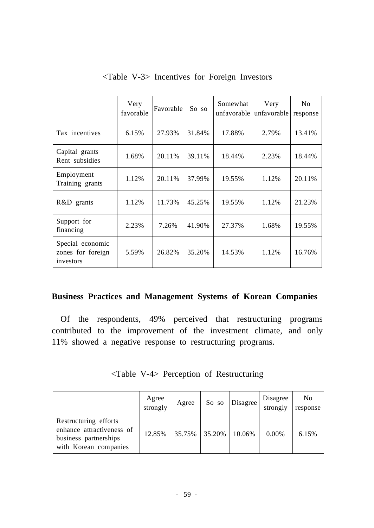|                                                    | Very<br>favorable | Favorable | So so  | Somewhat | Very<br>unfavorable unfavorable | N <sub>0</sub><br>response |
|----------------------------------------------------|-------------------|-----------|--------|----------|---------------------------------|----------------------------|
| Tax incentives                                     | 6.15%             | 27.93%    | 31.84% | 17.88%   | 2.79%                           | 13.41%                     |
| Capital grants<br>Rent subsidies                   | 1.68%             | 20.11%    | 39.11% | 18.44%   | 2.23%                           | 18.44%                     |
| Employment<br>Training grants                      | 1.12%             | 20.11%    | 37.99% | 19.55%   | 1.12%                           | 20.11%                     |
| R&D grants                                         | 1.12%             | 11.73%    | 45.25% | 19.55%   | 1.12%                           | 21.23%                     |
| Support for<br>financing                           | 2.23%             | 7.26%     | 41.90% | 27.37%   | 1.68%                           | 19.55%                     |
| Special economic<br>zones for foreign<br>investors | 5.59%             | 26.82%    | 35.20% | 14.53%   | 1.12%                           | 16.76%                     |

# <Table V-3> Incentives for Foreign Investors

# **Business Practices and Management Systems of Korean Companies**

Of the respondents, 49% perceived that restructuring programs contributed to the improvement of the investment climate, and only 11% showed a negative response to restructuring programs.

|  |  |  |  | <table v-4=""> Perception of Restructuring</table> |
|--|--|--|--|----------------------------------------------------|
|--|--|--|--|----------------------------------------------------|

|                                                                                                      | Agree<br>strongly | Agree             | So so | Disagree | Disagree<br>strongly | N <sub>0</sub><br>response |
|------------------------------------------------------------------------------------------------------|-------------------|-------------------|-------|----------|----------------------|----------------------------|
| Restructuring efforts<br>enhance attractiveness of<br>business partnerships<br>with Korean companies | 12.85%            | $35.75\%$ 35.20\% |       | 10.06%   | 0.00%                | 6.15%                      |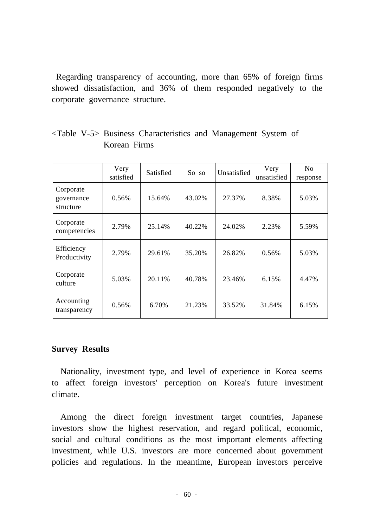Regarding transparency of accounting, more than 65% of foreign firms showed dissatisfaction, and 36% of them responded negatively to the corporate governance structure.

|                                      | Very<br>satisfied | Satisfied | So so  | Unsatisfied | Very<br>unsatisfied | N <sub>0</sub><br>response |
|--------------------------------------|-------------------|-----------|--------|-------------|---------------------|----------------------------|
| Corporate<br>governance<br>structure | 0.56%             | 15.64%    | 43.02% | 27.37%      | 8.38%               | 5.03%                      |
| Corporate<br>competencies            | 2.79%             | 25.14%    | 40.22% | 24.02%      | 2.23%               | 5.59%                      |
| Efficiency<br>Productivity           | 2.79%             | 29.61%    | 35.20% | 26.82%      | 0.56%               | 5.03%                      |
| Corporate<br>culture                 | 5.03%             | 20.11\%   | 40.78% | 23.46%      | 6.15%               | 4.47%                      |
| Accounting<br>transparency           | 0.56%             | 6.70%     | 21.23% | 33.52%      | 31.84%              | 6.15%                      |

<Table V-5> Business Characteristics and Management System of Korean Firms

# **Survey Results**

Nationality, investment type, and level of experience in Korea seems to affect foreign investors' perception on Korea's future investment climate.

Among the direct foreign investment target countries, Japanese investors show the highest reservation, and regard political, economic, social and cultural conditions as the most important elements affecting investment, while U.S. investors are more concerned about government policies and regulations. In the meantime, European investors perceive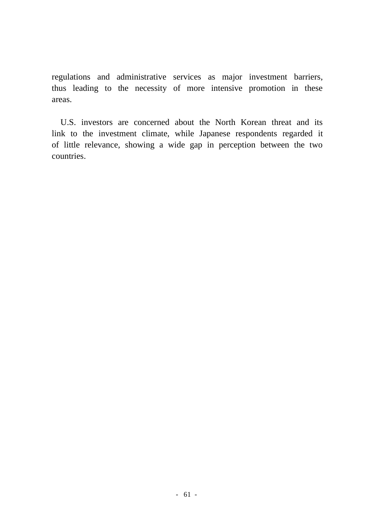regulations and administrative services as major investment barriers, thus leading to the necessity of more intensive promotion in these areas.

U.S. investors are concerned about the North Korean threat and its link to the investment climate, while Japanese respondents regarded it of little relevance, showing a wide gap in perception between the two countries.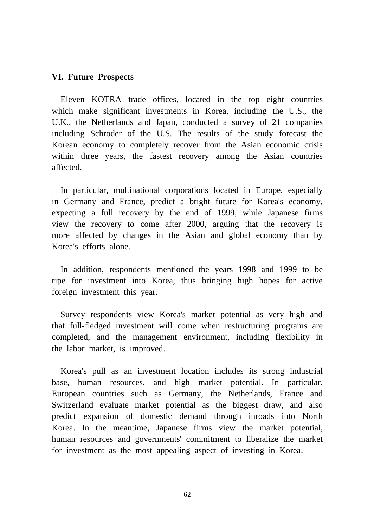### **VI. Future Prospects**

Eleven KOTRA trade offices, located in the top eight countries which make significant investments in Korea, including the U.S., the U.K., the Netherlands and Japan, conducted a survey of 21 companies including Schroder of the U.S. The results of the study forecast the Korean economy to completely recover from the Asian economic crisis within three years, the fastest recovery among the Asian countries affected.

In particular, multinational corporations located in Europe, especially in Germany and France, predict a bright future for Korea's economy, expecting a full recovery by the end of 1999, while Japanese firms view the recovery to come after 2000, arguing that the recovery is more affected by changes in the Asian and global economy than by Korea's efforts alone.

In addition, respondents mentioned the years 1998 and 1999 to be ripe for investment into Korea, thus bringing high hopes for active foreign investment this year.

Survey respondents view Korea's market potential as very high and that full-fledged investment will come when restructuring programs are completed, and the management environment, including flexibility in the labor market, is improved.

Korea's pull as an investment location includes its strong industrial base, human resources, and high market potential. In particular, European countries such as Germany, the Netherlands, France and Switzerland evaluate market potential as the biggest draw, and also predict expansion of domestic demand through inroads into North Korea. In the meantime, Japanese firms view the market potential, human resources and governments' commitment to liberalize the market for investment as the most appealing aspect of investing in Korea.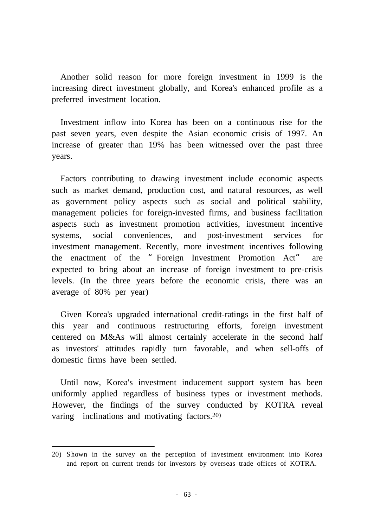Another solid reason for more foreign investment in 1999 is the increasing direct investment globally, and Korea's enhanced profile as a preferred investment location.

Investment inflow into Korea has been on a continuous rise for the past seven years, even despite the Asian economic crisis of 1997. An increase of greater than 19% has been witnessed over the past three years.

Factors contributing to drawing investment include economic aspects such as market demand, production cost, and natural resources, as well as government policy aspects such as social and political stability, management policies for foreign-invested firms, and business facilitation aspects such as investment promotion activities, investment incentive systems, social conveniences, and post-investment services for investment management. Recently, more investment incentives following the enactment of the "Foreign Investment Promotion Act" are expected to bring about an increase of foreign investment to pre-crisis levels. (In the three years before the economic crisis, there was an average of 80% per year)

Given Korea's upgraded international credit-ratings in the first half of this year and continuous restructuring efforts, foreign investment centered on M&As will almost certainly accelerate in the second half as investors' attitudes rapidly turn favorable, and when sell-offs of domestic firms have been settled.

Until now, Korea's investment inducement support system has been uniformly applied regardless of business types or investment methods. However, the findings of the survey conducted by KOTRA reveal varing inclinations and motivating factors. 20)

<sup>20)</sup> Shown in the survey on the perception of investment environment into Korea and report on current trends for investors by overseas trade offices of KOTRA.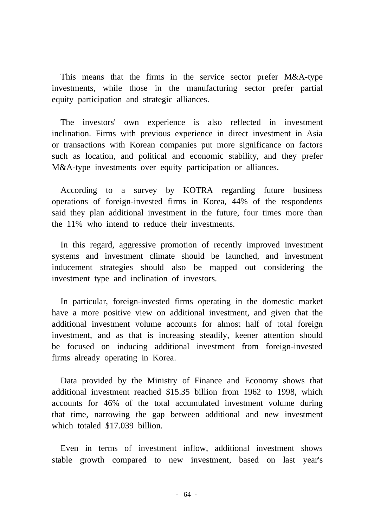This means that the firms in the service sector prefer M&A-type investments, while those in the manufacturing sector prefer partial equity participation and strategic alliances.

The investors' own experience is also reflected in investment inclination. Firms with previous experience in direct investment in Asia or transactions with Korean companies put more significance on factors such as location, and political and economic stability, and they prefer M&A-type investments over equity participation or alliances.

According to a survey by KOTRA regarding future business operations of foreign-invested firms in Korea, 44% of the respondents said they plan additional investment in the future, four times more than the 11% who intend to reduce their investments.

In this regard, aggressive promotion of recently improved investment systems and investment climate should be launched, and investment inducement strategies should also be mapped out considering the investment type and inclination of investors.

In particular, foreign-invested firms operating in the domestic market have a more positive view on additional investment, and given that the additional investment volume accounts for almost half of total foreign investment, and as that is increasing steadily, keener attention should be focused on inducing additional investment from foreign-invested firms already operating in Korea.

Data provided by the Ministry of Finance and Economy shows that additional investment reached \$15.35 billion from 1962 to 1998, which accounts for 46% of the total accumulated investment volume during that time, narrowing the gap between additional and new investment which totaled \$17.039 billion.

Even in terms of investment inflow, additional investment shows stable growth compared to new investment, based on last year's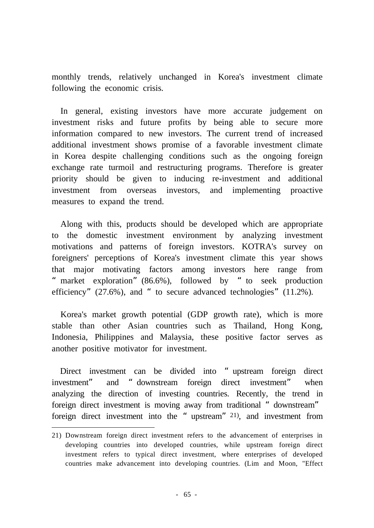monthly trends, relatively unchanged in Korea's investment climate following the economic crisis.

In general, existing investors have more accurate judgement on investment risks and future profits by being able to secure more information compared to new investors. The current trend of increased additional investment shows promise of a favorable investment climate in Korea despite challenging conditions such as the ongoing foreign exchange rate turmoil and restructuring programs. Therefore is greater priority should be given to inducing re-investment and additional investment from overseas investors, and implementing proactive measures to expand the trend.

Along with this, products should be developed which are appropriate to the domestic investment environment by analyzing investment motivations and patterns of foreign investors. KOTRA's survey on foreigners' perceptions of Korea's investment climate this year shows that major motivating factors among investors here range from "market exploration"(86.6%), followed by "to seek production efficiency"  $(27.6\%)$ , and "to secure advanced technologies"  $(11.2\%)$ .

Korea's market growth potential (GDP growth rate), which is more stable than other Asian countries such as Thailand, Hong Kong, Indonesia, Philippines and Malaysia, these positive factor serves as another positive motivator for investment.

Direct investment can be divided into "upstream foreign direct investment" and "downstream foreign direct investment" when analyzing the direction of investing countries. Recently, the trend in foreign direct investment is moving away from traditional "downstream" foreign direct investment into the "upstream" <sup>21)</sup>, and investment from

<sup>21)</sup> Downstream foreign direct investment refers to the advancement of enterprises in developing countries into developed countries, while upstream foreign direct investment refers to typical direct investment, where enterprises of developed countries make advancement into developing countries. (Lim and Moon, "Effect